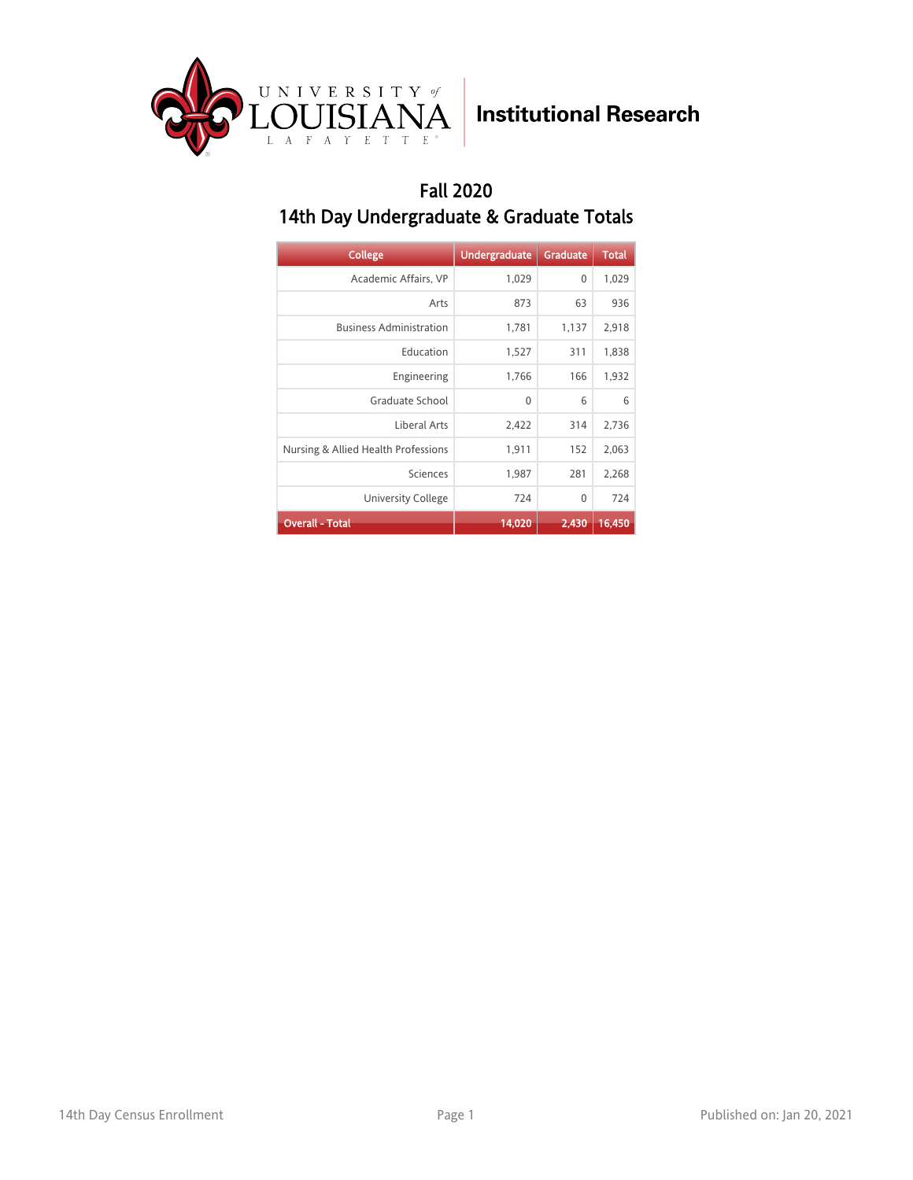

#### Fall 2020 14th Day Undergraduate & Graduate Totals

| <b>College</b>                      | <b>Undergraduate</b> | Graduate | <b>Total</b> |
|-------------------------------------|----------------------|----------|--------------|
| Academic Affairs, VP                | 1,029                | 0        | 1,029        |
| Arts                                | 873                  | 63       | 936          |
| <b>Business Administration</b>      | 1,781                | 1,137    | 2,918        |
| Education                           | 1,527                | 311      | 1,838        |
| Engineering                         | 1,766                | 166      | 1,932        |
| Graduate School                     | 0                    | 6        | 6            |
| Liberal Arts                        | 2,422                | 314      | 2,736        |
| Nursing & Allied Health Professions | 1,911                | 152      | 2,063        |
| Sciences                            | 1,987                | 281      | 2,268        |
| University College                  | 724                  | 0        | 724          |
| <b>Overall - Total</b>              | 14,020               | 2,430    | 16,450       |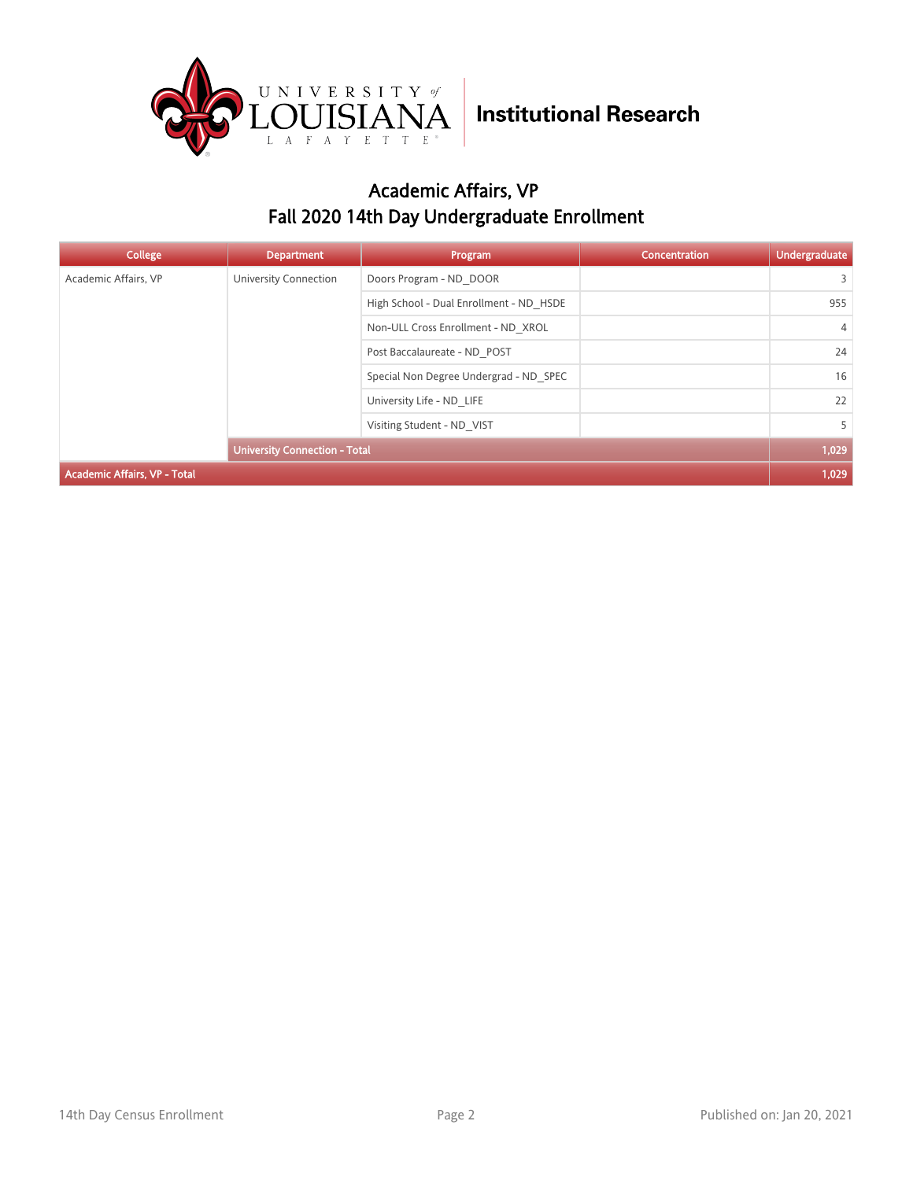

### Academic Affairs, VP Fall 2020 14th Day Undergraduate Enrollment

| <b>College</b>                      | <b>Department</b>                    | Program                                 | Concentration | Undergraduate  |
|-------------------------------------|--------------------------------------|-----------------------------------------|---------------|----------------|
| Academic Affairs, VP                | University Connection                | Doors Program - ND DOOR                 |               | 3              |
|                                     |                                      | High School - Dual Enrollment - ND HSDE |               | 955            |
|                                     |                                      | Non-ULL Cross Enrollment - ND XROL      |               | $\overline{4}$ |
|                                     |                                      | Post Baccalaureate - ND POST            |               | 24             |
|                                     |                                      | Special Non Degree Undergrad - ND SPEC  |               | 16             |
|                                     |                                      | University Life - ND LIFE               |               | 22             |
|                                     | Visiting Student - ND VIST           |                                         | 5             |                |
|                                     | <b>University Connection - Total</b> |                                         |               | 1,029          |
| <b>Academic Affairs, VP - Total</b> |                                      |                                         |               |                |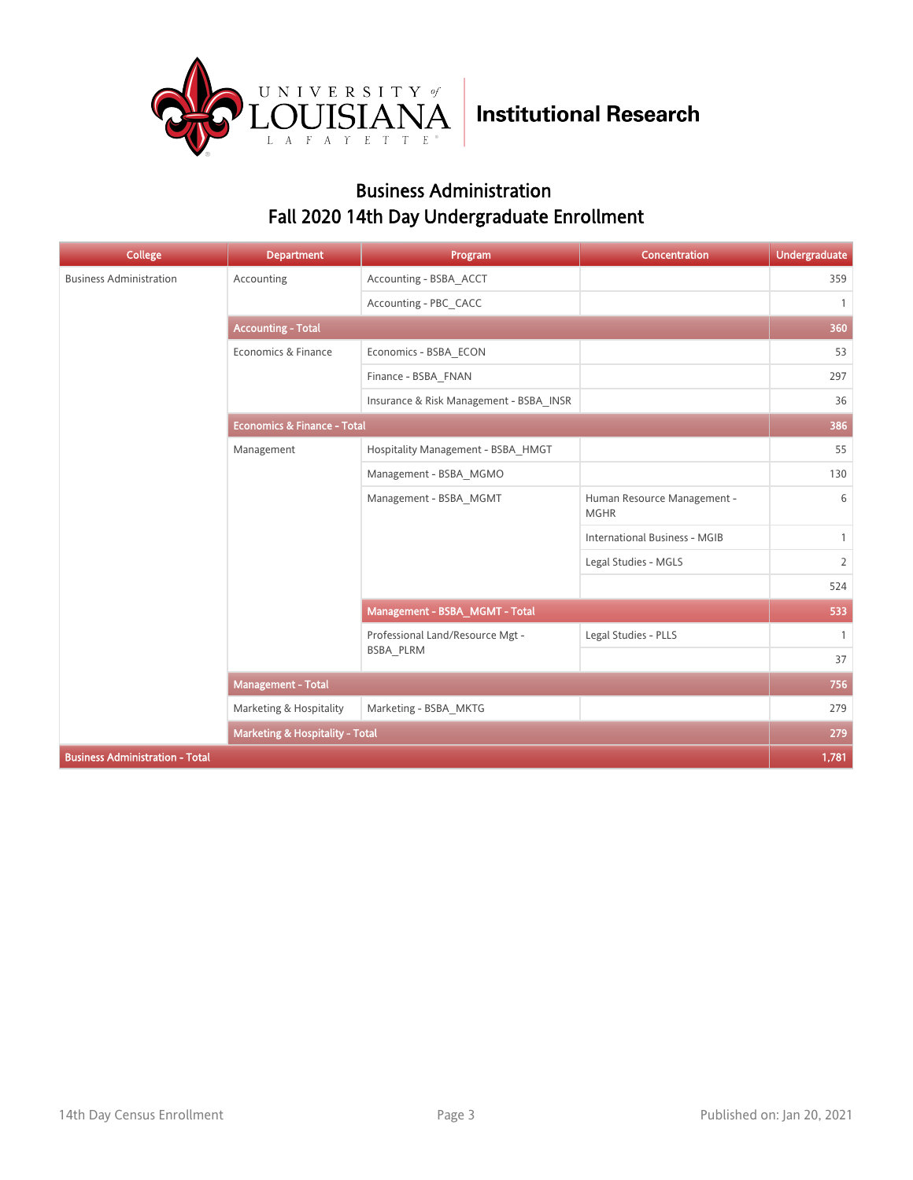

### Business Administration Fall 2020 14th Day Undergraduate Enrollment

| <b>College</b>                         | <b>Department</b>                      | Program                                 | Concentration                              | <b>Undergraduate</b> |
|----------------------------------------|----------------------------------------|-----------------------------------------|--------------------------------------------|----------------------|
| <b>Business Administration</b>         | Accounting                             | Accounting - BSBA_ACCT                  |                                            | 359                  |
|                                        |                                        | Accounting - PBC CACC                   |                                            | $\mathbf{1}$         |
|                                        | <b>Accounting - Total</b>              |                                         |                                            | 360                  |
|                                        | Economics & Finance                    | Economics - BSBA ECON                   |                                            | 53                   |
|                                        |                                        | Finance - BSBA FNAN                     |                                            | 297                  |
|                                        |                                        | Insurance & Risk Management - BSBA_INSR |                                            | 36                   |
|                                        | <b>Economics &amp; Finance - Total</b> |                                         |                                            | 386                  |
|                                        | Management                             | Hospitality Management - BSBA HMGT      |                                            | 55                   |
|                                        |                                        | Management - BSBA MGMO                  |                                            | 130                  |
|                                        |                                        | Management - BSBA MGMT                  | Human Resource Management -<br><b>MGHR</b> | 6                    |
|                                        |                                        |                                         | <b>International Business - MGIB</b>       | $\mathbf{1}$         |
|                                        |                                        |                                         | Legal Studies - MGLS                       | $\overline{2}$       |
|                                        |                                        |                                         |                                            | 524                  |
|                                        |                                        | Management - BSBA MGMT - Total          |                                            | 533                  |
|                                        |                                        | Professional Land/Resource Mgt -        | Legal Studies - PLLS                       | $\overline{1}$       |
|                                        |                                        | BSBA PLRM                               |                                            | 37                   |
|                                        | <b>Management - Total</b>              |                                         |                                            | 756                  |
|                                        | Marketing & Hospitality                | Marketing - BSBA MKTG                   |                                            | 279                  |
|                                        | Marketing & Hospitality - Total        |                                         |                                            | 279                  |
| <b>Business Administration - Total</b> |                                        |                                         |                                            | 1,781                |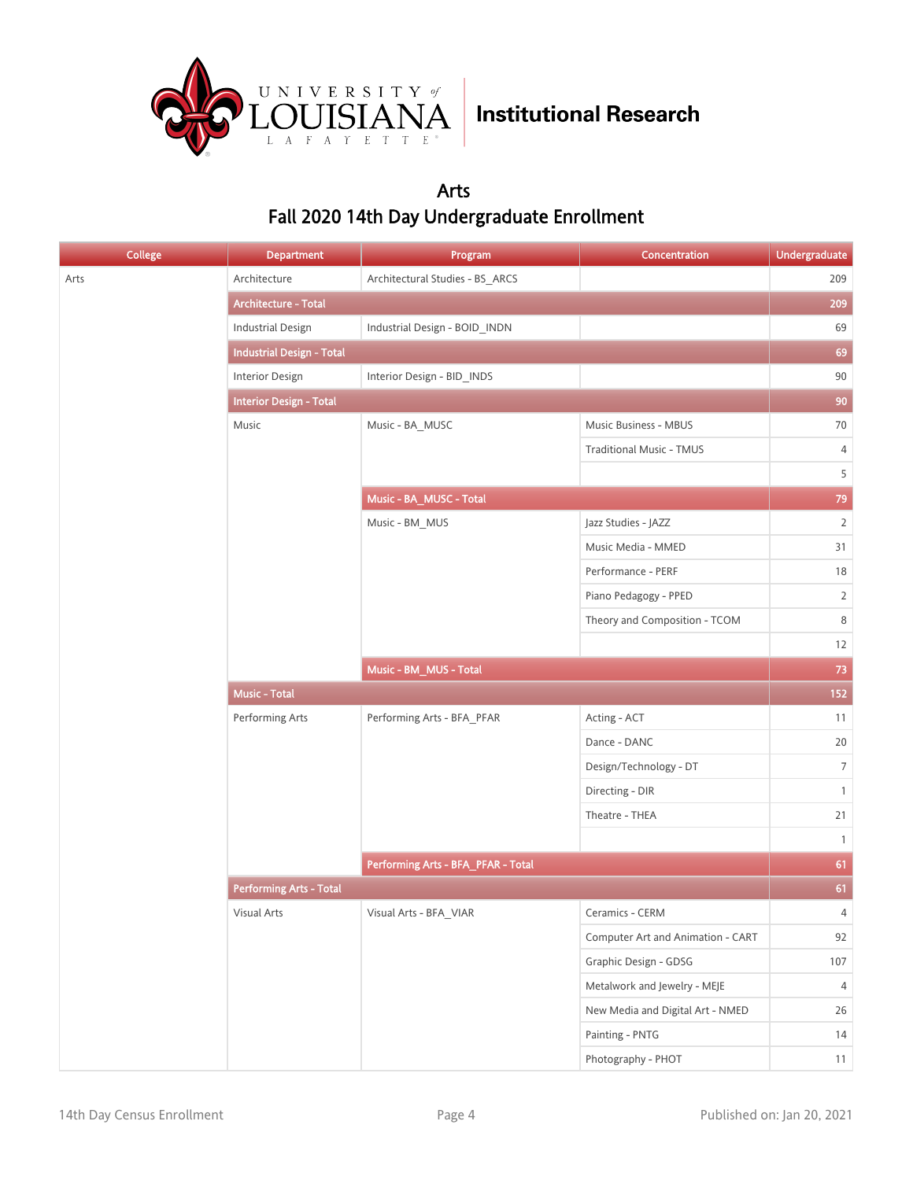

### Arts Fall 2020 14th Day Undergraduate Enrollment

| <b>College</b> | <b>Department</b>                | Program                            | Concentration                     | <b>Undergraduate</b> |    |
|----------------|----------------------------------|------------------------------------|-----------------------------------|----------------------|----|
| Arts           | Architecture                     | Architectural Studies - BS_ARCS    |                                   | 209                  |    |
|                | Architecture - Total             |                                    |                                   | 209                  |    |
|                | <b>Industrial Design</b>         | Industrial Design - BOID INDN      |                                   | 69                   |    |
|                | <b>Industrial Design - Total</b> |                                    |                                   | 69                   |    |
|                | Interior Design                  | Interior Design - BID_INDS         |                                   | $90\,$               |    |
|                | <b>Interior Design - Total</b>   |                                    |                                   | 90                   |    |
|                | Music                            | Music - BA_MUSC                    | Music Business - MBUS             | 70                   |    |
|                |                                  |                                    | <b>Traditional Music - TMUS</b>   | 4                    |    |
|                |                                  |                                    |                                   | 5                    |    |
|                |                                  | Music - BA_MUSC - Total            |                                   | 79                   |    |
|                |                                  | Music - BM_MUS                     | Jazz Studies - JAZZ               | $\overline{2}$       |    |
|                |                                  |                                    | Music Media - MMED                | 31                   |    |
|                |                                  |                                    | Performance - PERF                | $18\,$               |    |
|                |                                  |                                    | Piano Pedagogy - PPED             | $\overline{2}$       |    |
|                |                                  |                                    | Theory and Composition - TCOM     | 8                    |    |
|                |                                  |                                    |                                   | 12                   |    |
|                |                                  | Music - BM_MUS - Total             |                                   | 73                   |    |
|                | Music - Total                    |                                    |                                   | 152                  |    |
|                | Performing Arts                  | Performing Arts - BFA_PFAR         | Acting - ACT                      | 11                   |    |
|                |                                  |                                    | Dance - DANC                      | $20\,$               |    |
|                |                                  |                                    | Design/Technology - DT            | $7\overline{ }$      |    |
|                |                                  |                                    | Directing - DIR                   | $\mathbf{1}$         |    |
|                |                                  |                                    | Theatre - THEA                    | 21                   |    |
|                |                                  |                                    |                                   | $\mathbf{1}$         |    |
|                |                                  | Performing Arts - BFA_PFAR - Total |                                   | 61                   |    |
|                | <b>Performing Arts - Total</b>   |                                    |                                   | 61                   |    |
|                | Visual Arts                      | Visual Arts - BFA_VIAR             | Ceramics - CERM                   | $\overline{4}$       |    |
|                |                                  |                                    | Computer Art and Animation - CART | 92                   |    |
|                |                                  |                                    | Graphic Design - GDSG             | 107                  |    |
|                |                                  |                                    | Metalwork and Jewelry - MEJE      | 4                    |    |
|                |                                  |                                    | New Media and Digital Art - NMED  | 26                   |    |
|                |                                  |                                    | Painting - PNTG                   | 14                   |    |
|                |                                  |                                    |                                   | Photography - PHOT   | 11 |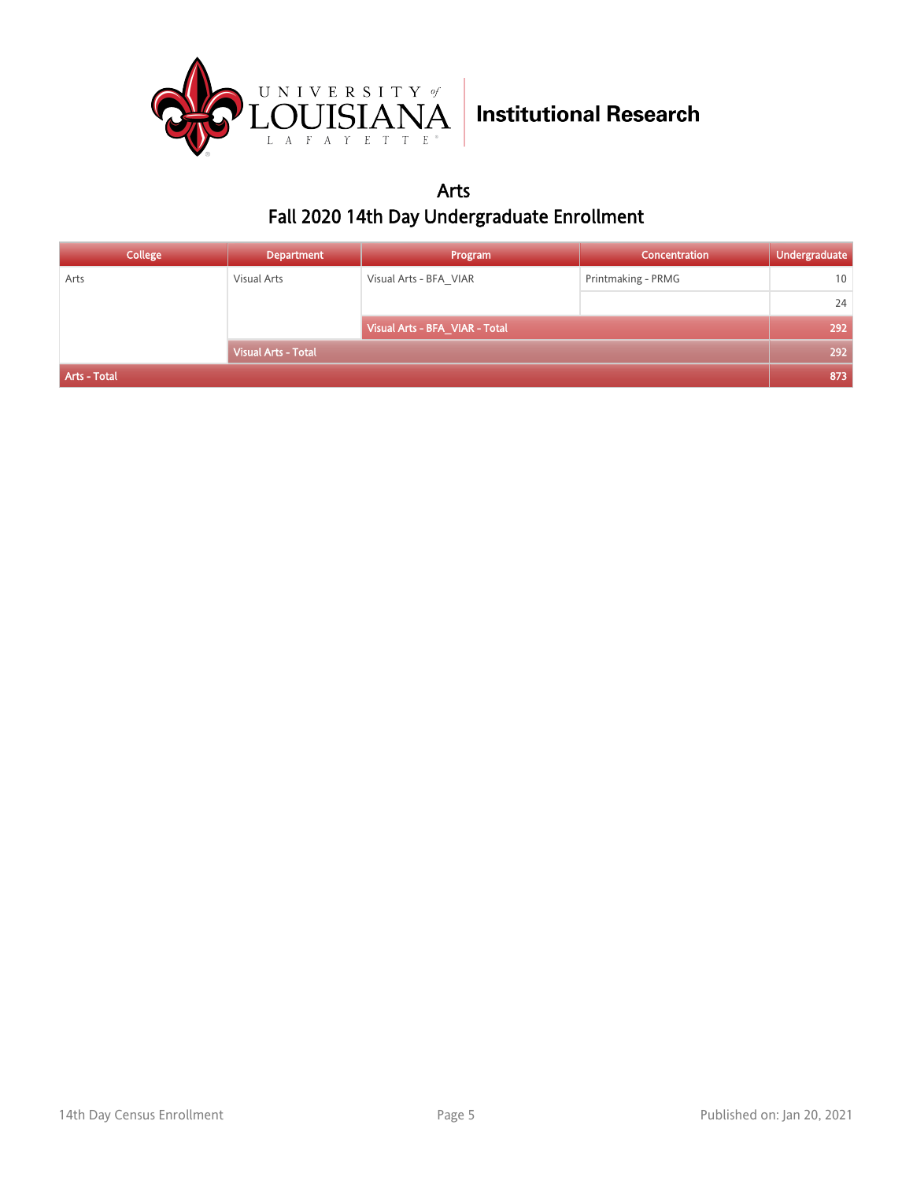

Arts Fall 2020 14th Day Undergraduate Enrollment

| College      | <b>Department</b>          | Program                        | <b>Concentration</b> | Undergraduate |
|--------------|----------------------------|--------------------------------|----------------------|---------------|
| Arts         | Visual Arts                | Visual Arts - BFA VIAR         | Printmaking - PRMG   | 10            |
|              |                            |                                |                      | 24            |
|              |                            | Visual Arts - BFA_VIAR - Total |                      | 292           |
|              | <b>Visual Arts - Total</b> |                                |                      | 292           |
| Arts - Total |                            |                                |                      | 873           |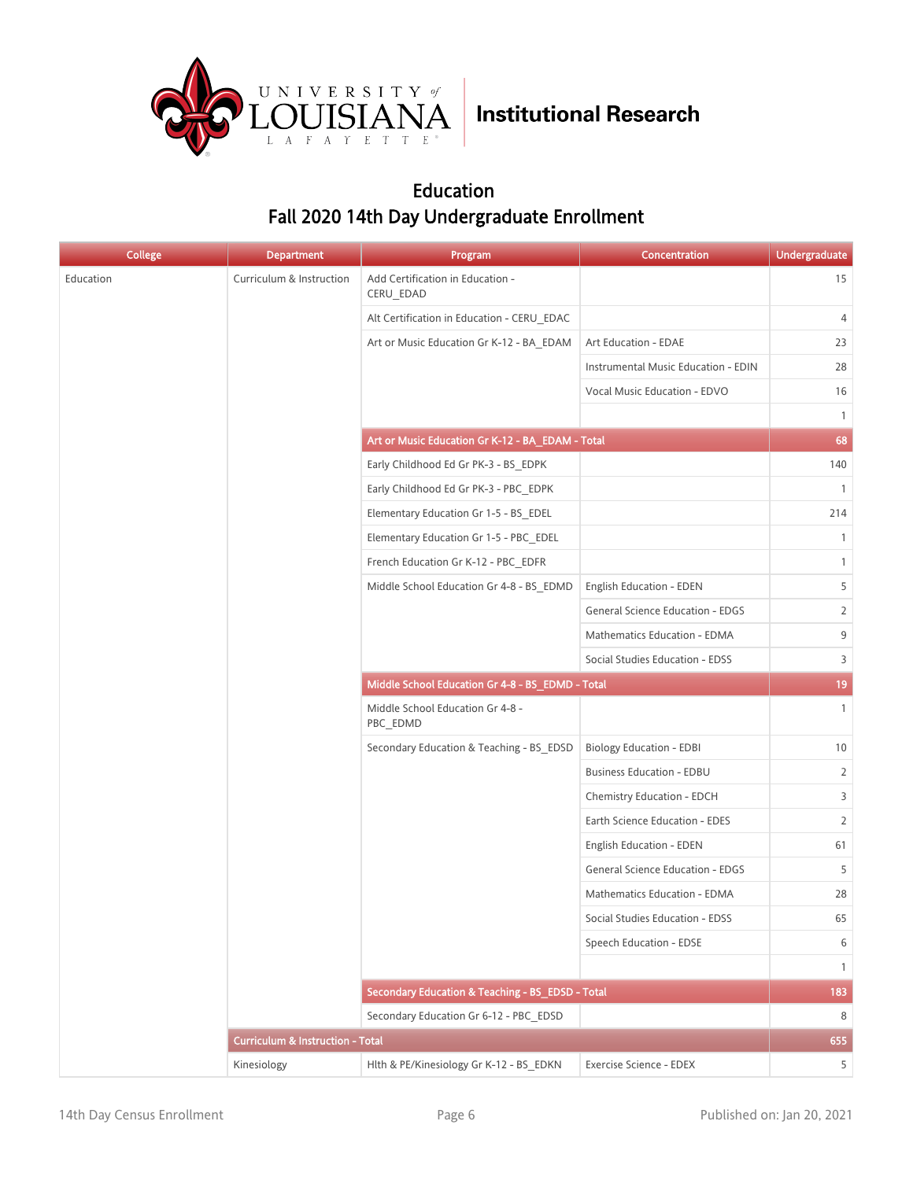

### Education Fall 2020 14th Day Undergraduate Enrollment

| <b>College</b> | <b>Department</b>                           | Program                                          | Concentration                       | <b>Undergraduate</b> |
|----------------|---------------------------------------------|--------------------------------------------------|-------------------------------------|----------------------|
| Education      | Curriculum & Instruction                    | Add Certification in Education -<br>CERU_EDAD    |                                     | 15                   |
|                |                                             | Alt Certification in Education - CERU EDAC       |                                     | 4                    |
|                |                                             | Art or Music Education Gr K-12 - BA_EDAM         | Art Education - EDAE                | 23                   |
|                |                                             |                                                  | Instrumental Music Education - EDIN | 28                   |
|                |                                             |                                                  | Vocal Music Education - EDVO        | 16                   |
|                |                                             |                                                  |                                     | $\mathbf{1}$         |
|                |                                             | Art or Music Education Gr K-12 - BA_EDAM - Total |                                     | 68                   |
|                |                                             | Early Childhood Ed Gr PK-3 - BS EDPK             |                                     | 140                  |
|                |                                             | Early Childhood Ed Gr PK-3 - PBC EDPK            |                                     | $\mathbf{1}$         |
|                |                                             | Elementary Education Gr 1-5 - BS EDEL            |                                     | 214                  |
|                |                                             | Elementary Education Gr 1-5 - PBC EDEL           |                                     | $\mathbf{1}$         |
|                |                                             | French Education Gr K-12 - PBC EDFR              |                                     | $\mathbf{1}$         |
|                |                                             | Middle School Education Gr 4-8 - BS_EDMD         | <b>English Education - EDEN</b>     | 5                    |
|                |                                             |                                                  | General Science Education - EDGS    | $\overline{2}$       |
|                |                                             | Mathematics Education - EDMA                     | 9                                   |                      |
|                |                                             | Social Studies Education - EDSS                  | 3                                   |                      |
|                |                                             | Middle School Education Gr 4-8 - BS_EDMD - Total |                                     | 19                   |
|                |                                             | Middle School Education Gr 4-8 -<br>PBC_EDMD     |                                     | $\mathbf{1}$         |
|                |                                             | Secondary Education & Teaching - BS_EDSD         | <b>Biology Education - EDBI</b>     | 10                   |
|                |                                             |                                                  | <b>Business Education - EDBU</b>    | 2                    |
|                |                                             |                                                  | Chemistry Education - EDCH          | 3                    |
|                |                                             |                                                  | Earth Science Education - EDES      | 2                    |
|                |                                             |                                                  | English Education - EDEN            | 61                   |
|                |                                             |                                                  | General Science Education - EDGS    | 5                    |
|                |                                             |                                                  | Mathematics Education - EDMA        | 28                   |
|                |                                             |                                                  | Social Studies Education - EDSS     | 65                   |
|                |                                             |                                                  | Speech Education - EDSE             | 6                    |
|                |                                             |                                                  |                                     | $\mathbf{1}$         |
|                |                                             | Secondary Education & Teaching - BS_EDSD - Total |                                     | 183                  |
|                |                                             | Secondary Education Gr 6-12 - PBC_EDSD           |                                     | 8                    |
|                | <b>Curriculum &amp; Instruction - Total</b> |                                                  |                                     | 655                  |
|                | Kinesiology                                 | Hlth & PE/Kinesiology Gr K-12 - BS_EDKN          | Exercise Science - EDEX             | 5 <sup>1</sup>       |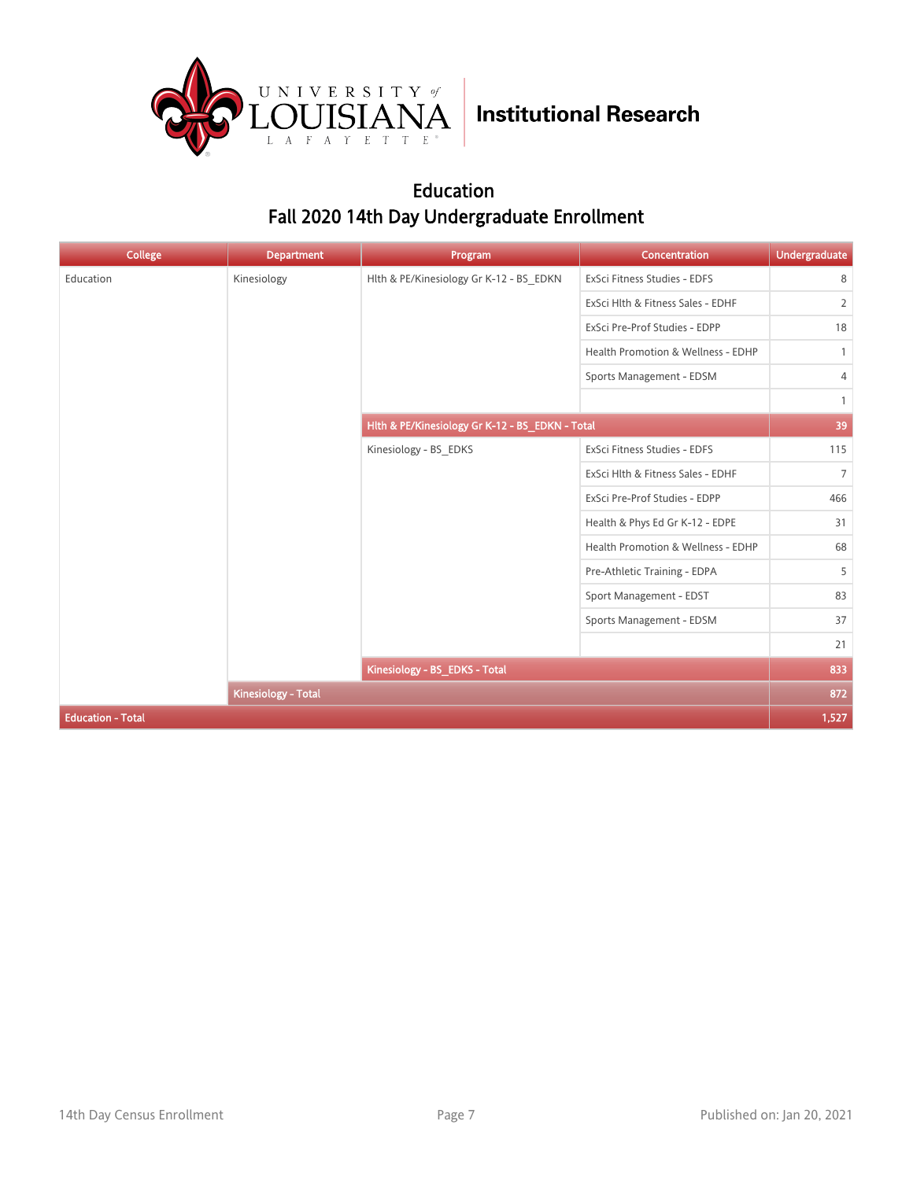

### Education Fall 2020 14th Day Undergraduate Enrollment

| <b>College</b>           | <b>Department</b>             | Program                                                                                                                                                                                                                                                                                                                                                                                    | Concentration                     | <b>Undergraduate</b> |
|--------------------------|-------------------------------|--------------------------------------------------------------------------------------------------------------------------------------------------------------------------------------------------------------------------------------------------------------------------------------------------------------------------------------------------------------------------------------------|-----------------------------------|----------------------|
| Education                | Kinesiology                   | Hlth & PE/Kinesiology Gr K-12 - BS_EDKN                                                                                                                                                                                                                                                                                                                                                    | ExSci Fitness Studies - EDFS      | 8                    |
|                          |                               |                                                                                                                                                                                                                                                                                                                                                                                            | ExSci Hlth & Fitness Sales - EDHF | $\overline{2}$       |
|                          |                               | ExSci Pre-Prof Studies - EDPP<br>Health Promotion & Wellness - EDHP<br>Sports Management - EDSM<br>Hlth & PE/Kinesiology Gr K-12 - BS_EDKN - Total<br>Kinesiology - BS EDKS<br>ExSci Fitness Studies - EDFS<br>ExSci Hlth & Fitness Sales - EDHF<br>ExSci Pre-Prof Studies - EDPP<br>Health & Phys Ed Gr K-12 - EDPE<br>Health Promotion & Wellness - EDHP<br>Pre-Athletic Training - EDPA | 18                                |                      |
|                          |                               |                                                                                                                                                                                                                                                                                                                                                                                            |                                   | $\mathbf{1}$         |
|                          |                               |                                                                                                                                                                                                                                                                                                                                                                                            |                                   | 4                    |
|                          |                               |                                                                                                                                                                                                                                                                                                                                                                                            |                                   | $\mathbf{1}$         |
|                          |                               |                                                                                                                                                                                                                                                                                                                                                                                            |                                   | 39                   |
|                          |                               |                                                                                                                                                                                                                                                                                                                                                                                            |                                   | 115                  |
|                          |                               |                                                                                                                                                                                                                                                                                                                                                                                            |                                   | $7\overline{ }$      |
|                          |                               |                                                                                                                                                                                                                                                                                                                                                                                            |                                   | 466                  |
|                          |                               |                                                                                                                                                                                                                                                                                                                                                                                            |                                   | 31                   |
|                          |                               |                                                                                                                                                                                                                                                                                                                                                                                            |                                   | 68                   |
|                          |                               |                                                                                                                                                                                                                                                                                                                                                                                            |                                   | 5                    |
|                          |                               |                                                                                                                                                                                                                                                                                                                                                                                            | Sport Management - EDST           | 83                   |
|                          |                               |                                                                                                                                                                                                                                                                                                                                                                                            | Sports Management - EDSM          | 37                   |
|                          |                               |                                                                                                                                                                                                                                                                                                                                                                                            |                                   | 21                   |
|                          | Kinesiology - BS_EDKS - Total |                                                                                                                                                                                                                                                                                                                                                                                            | 833                               |                      |
|                          | <b>Kinesiology - Total</b>    |                                                                                                                                                                                                                                                                                                                                                                                            |                                   | 872                  |
| <b>Education - Total</b> |                               |                                                                                                                                                                                                                                                                                                                                                                                            |                                   | 1,527                |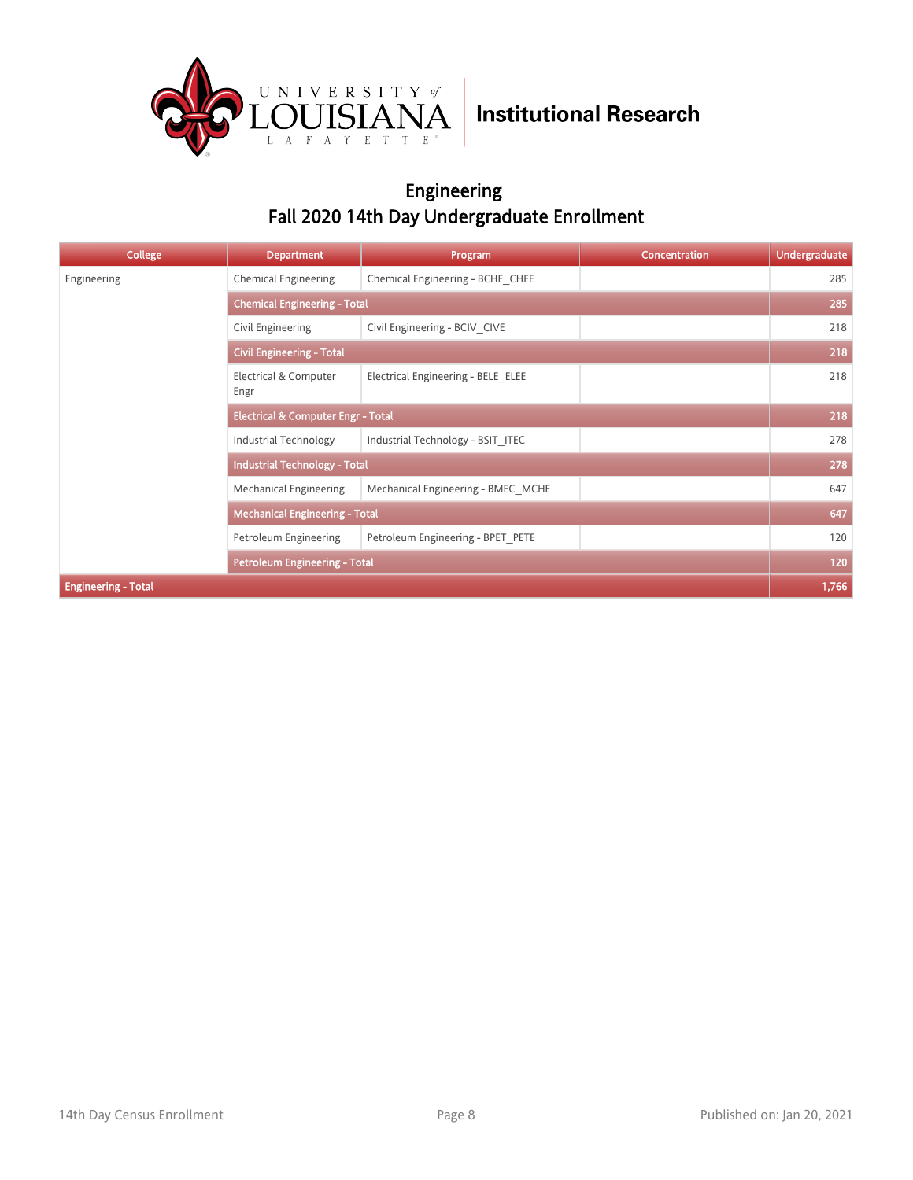

### Engineering Fall 2020 14th Day Undergraduate Enrollment

| <b>College</b>             | <b>Department</b>                             | Program                             | Concentration | <b>Undergraduate</b> |  |
|----------------------------|-----------------------------------------------|-------------------------------------|---------------|----------------------|--|
| Engineering                | <b>Chemical Engineering</b>                   | Chemical Engineering - BCHE CHEE    |               | 285                  |  |
|                            |                                               | <b>Chemical Engineering - Total</b> |               |                      |  |
|                            | Civil Engineering                             | Civil Engineering - BCIV CIVE       |               | 218                  |  |
|                            | <b>Civil Engineering - Total</b>              |                                     |               |                      |  |
|                            | Electrical & Computer<br>Engr                 | Electrical Engineering - BELE ELEE  |               | 218                  |  |
|                            | <b>Electrical &amp; Computer Engr - Total</b> |                                     |               | 218                  |  |
|                            | Industrial Technology                         | Industrial Technology - BSIT ITEC   |               | 278                  |  |
|                            | <b>Industrial Technology - Total</b>          |                                     |               | 278                  |  |
|                            | Mechanical Engineering                        | Mechanical Engineering - BMEC MCHE  |               | 647                  |  |
|                            | <b>Mechanical Engineering - Total</b>         |                                     |               | 647                  |  |
|                            | Petroleum Engineering                         | Petroleum Engineering - BPET PETE   |               | 120                  |  |
|                            | <b>Petroleum Engineering - Total</b>          |                                     |               | 120                  |  |
| <b>Engineering - Total</b> |                                               |                                     |               | 1,766                |  |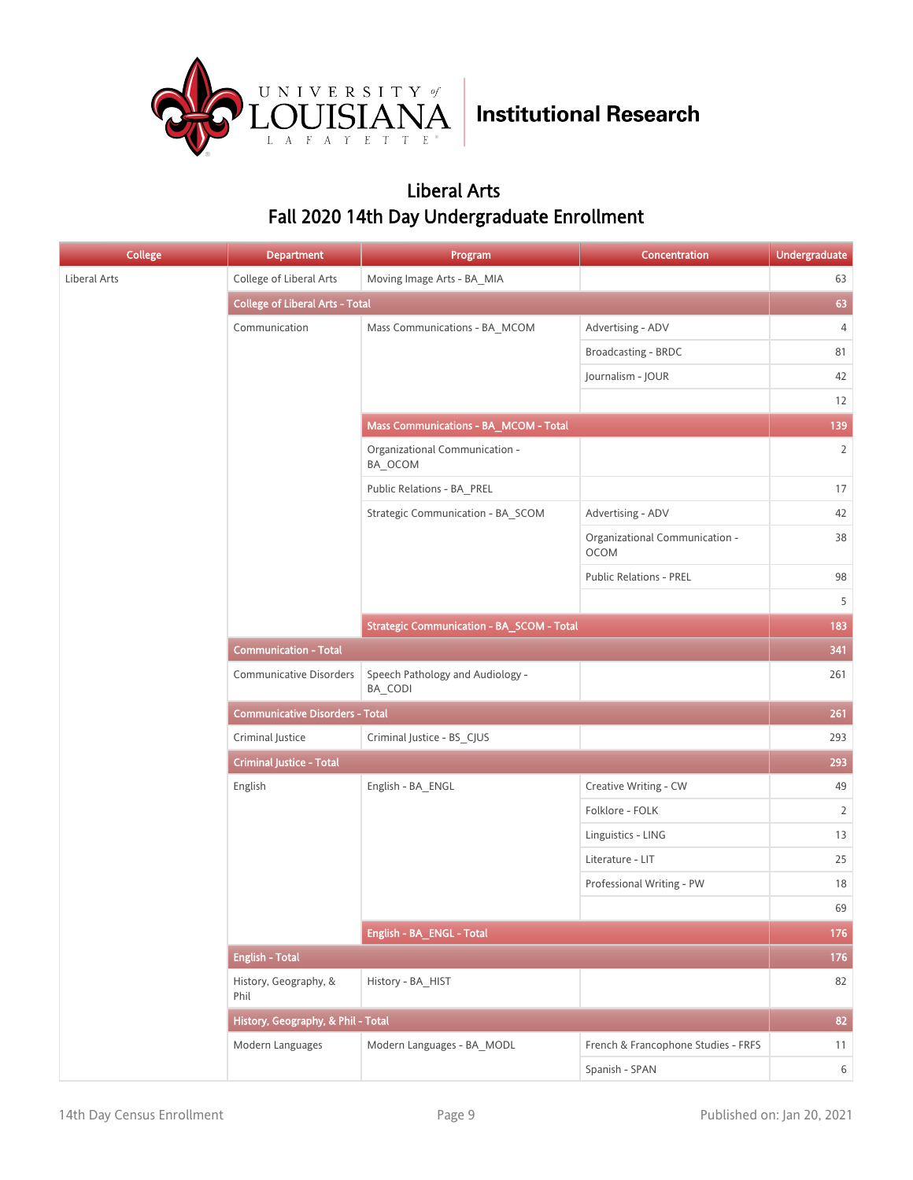

### Liberal Arts Fall 2020 14th Day Undergraduate Enrollment

| College      | <b>Department</b>                      | Program                                     | Concentration                                 | <b>Undergraduate</b> |
|--------------|----------------------------------------|---------------------------------------------|-----------------------------------------------|----------------------|
| Liberal Arts | College of Liberal Arts                | Moving Image Arts - BA_MIA                  |                                               | 63                   |
|              | <b>College of Liberal Arts - Total</b> |                                             |                                               | 63                   |
|              | Communication                          | Mass Communications - BA_MCOM               | Advertising - ADV                             | 4                    |
|              |                                        |                                             | Broadcasting - BRDC                           | 81                   |
|              |                                        |                                             | Journalism - JOUR                             | 42                   |
|              |                                        |                                             |                                               | 12                   |
|              |                                        | Mass Communications - BA_MCOM - Total       |                                               | 139                  |
|              |                                        | Organizational Communication -<br>BA_OCOM   |                                               | $\overline{2}$       |
|              |                                        | Public Relations - BA_PREL                  |                                               | $17\,$               |
|              |                                        | Strategic Communication - BA_SCOM           | Advertising - ADV                             | 42                   |
|              |                                        |                                             | Organizational Communication -<br><b>OCOM</b> | 38                   |
|              |                                        |                                             | <b>Public Relations - PREL</b>                | 98                   |
|              |                                        |                                             |                                               | 5                    |
|              |                                        | Strategic Communication - BA_SCOM - Total   |                                               | 183                  |
|              | <b>Communication - Total</b>           |                                             |                                               | 341                  |
|              | <b>Communicative Disorders</b>         | Speech Pathology and Audiology -<br>BA CODI |                                               | 261                  |
|              | <b>Communicative Disorders - Total</b> |                                             |                                               | 261                  |
|              | Criminal Justice                       | Criminal Justice - BS_CJUS                  |                                               | 293                  |
|              | <b>Criminal Justice - Total</b>        |                                             |                                               | 293                  |
|              | English                                | English - BA_ENGL                           | Creative Writing - CW                         | 49                   |
|              |                                        |                                             | Folklore - FOLK                               | $\overline{2}$       |
|              |                                        |                                             | Linguistics - LING                            | 13                   |
|              |                                        |                                             | Literature - LIT                              | 25                   |
|              |                                        |                                             | Professional Writing - PW                     | 18                   |
|              |                                        |                                             |                                               | 69                   |
|              |                                        | English - BA_ENGL - Total                   |                                               | 176                  |
|              | <b>English - Total</b>                 |                                             |                                               | 176                  |
|              | History, Geography, &<br>Phil          | History - BA_HIST                           |                                               | 82                   |
|              | History, Geography, & Phil - Total     |                                             |                                               | 82                   |
|              | Modern Languages                       | Modern Languages - BA_MODL                  | French & Francophone Studies - FRFS           | 11                   |
|              |                                        |                                             | Spanish - SPAN                                | $6\,$                |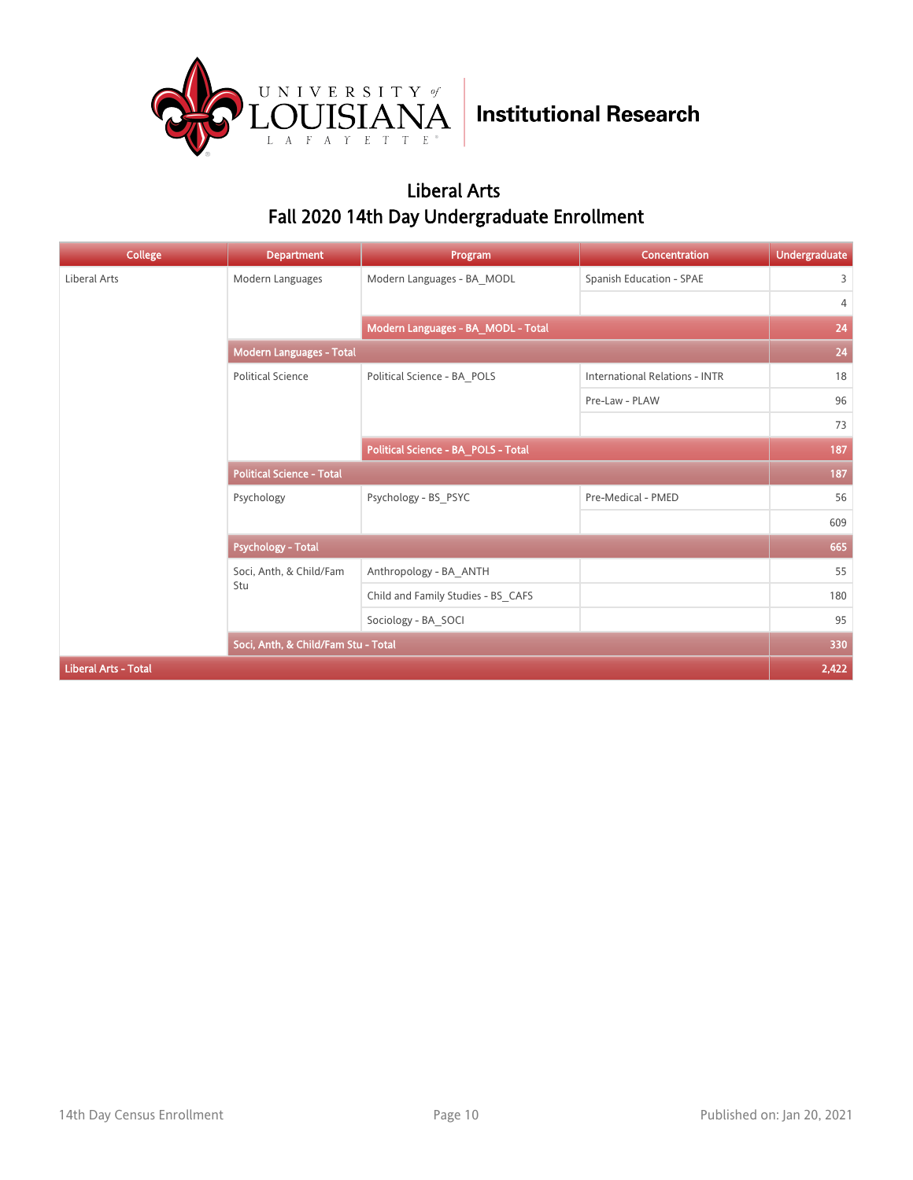

### Liberal Arts Fall 2020 14th Day Undergraduate Enrollment

| <b>College</b>              | <b>Department</b>                   | Program                             | Concentration                         | <b>Undergraduate</b> |
|-----------------------------|-------------------------------------|-------------------------------------|---------------------------------------|----------------------|
| Liberal Arts                | Modern Languages                    | Modern Languages - BA_MODL          | Spanish Education - SPAE              | 3                    |
|                             |                                     |                                     |                                       | 4                    |
|                             |                                     | Modern Languages - BA_MODL - Total  |                                       | 24                   |
|                             | Modern Languages - Total            |                                     |                                       | 24                   |
|                             | <b>Political Science</b>            | Political Science - BA_POLS         | <b>International Relations - INTR</b> | 18                   |
|                             |                                     |                                     | Pre-Law - PLAW                        | 96                   |
|                             |                                     |                                     |                                       | 73                   |
|                             |                                     | Political Science - BA_POLS - Total |                                       | 187                  |
|                             | <b>Political Science - Total</b>    |                                     |                                       | 187                  |
|                             | Psychology                          | Psychology - BS_PSYC                | Pre-Medical - PMED                    | 56                   |
|                             |                                     |                                     |                                       | 609                  |
|                             | <b>Psychology - Total</b>           |                                     |                                       | 665                  |
|                             | Soci, Anth, & Child/Fam             | Anthropology - BA_ANTH              |                                       | 55                   |
|                             | Stu                                 | Child and Family Studies - BS CAFS  |                                       | 180                  |
|                             |                                     | Sociology - BA SOCI                 |                                       | 95                   |
|                             | Soci, Anth, & Child/Fam Stu - Total |                                     |                                       | 330                  |
| <b>Liberal Arts - Total</b> |                                     |                                     |                                       | 2,422                |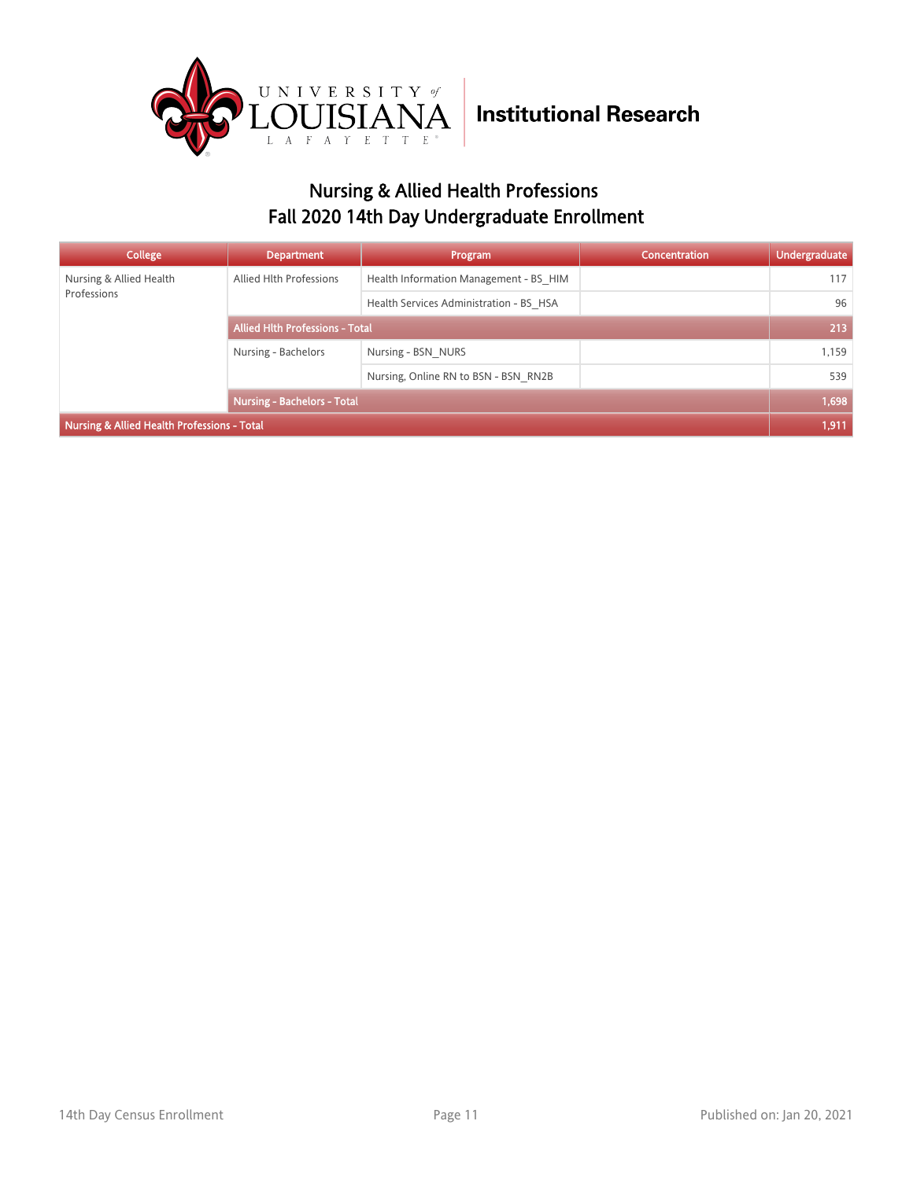

### Nursing & Allied Health Professions Fall 2020 14th Day Undergraduate Enrollment

| <b>College</b>                              | <b>Department</b>                      | Program                                 | Concentration | <b>Undergraduate</b> |
|---------------------------------------------|----------------------------------------|-----------------------------------------|---------------|----------------------|
| Nursing & Allied Health                     | Allied Hlth Professions                | Health Information Management - BS HIM  |               | 117                  |
| Professions                                 |                                        | Health Services Administration - BS HSA |               | 96                   |
|                                             | <b>Allied Hith Professions - Total</b> |                                         |               | 213                  |
|                                             | Nursing - Bachelors                    | Nursing - BSN NURS                      |               | 1,159                |
|                                             |                                        | Nursing, Online RN to BSN - BSN RN2B    |               | 539                  |
|                                             | <b>Nursing - Bachelors - Total</b>     |                                         |               | 1,698                |
| Nursing & Allied Health Professions - Total |                                        |                                         |               | 1,911                |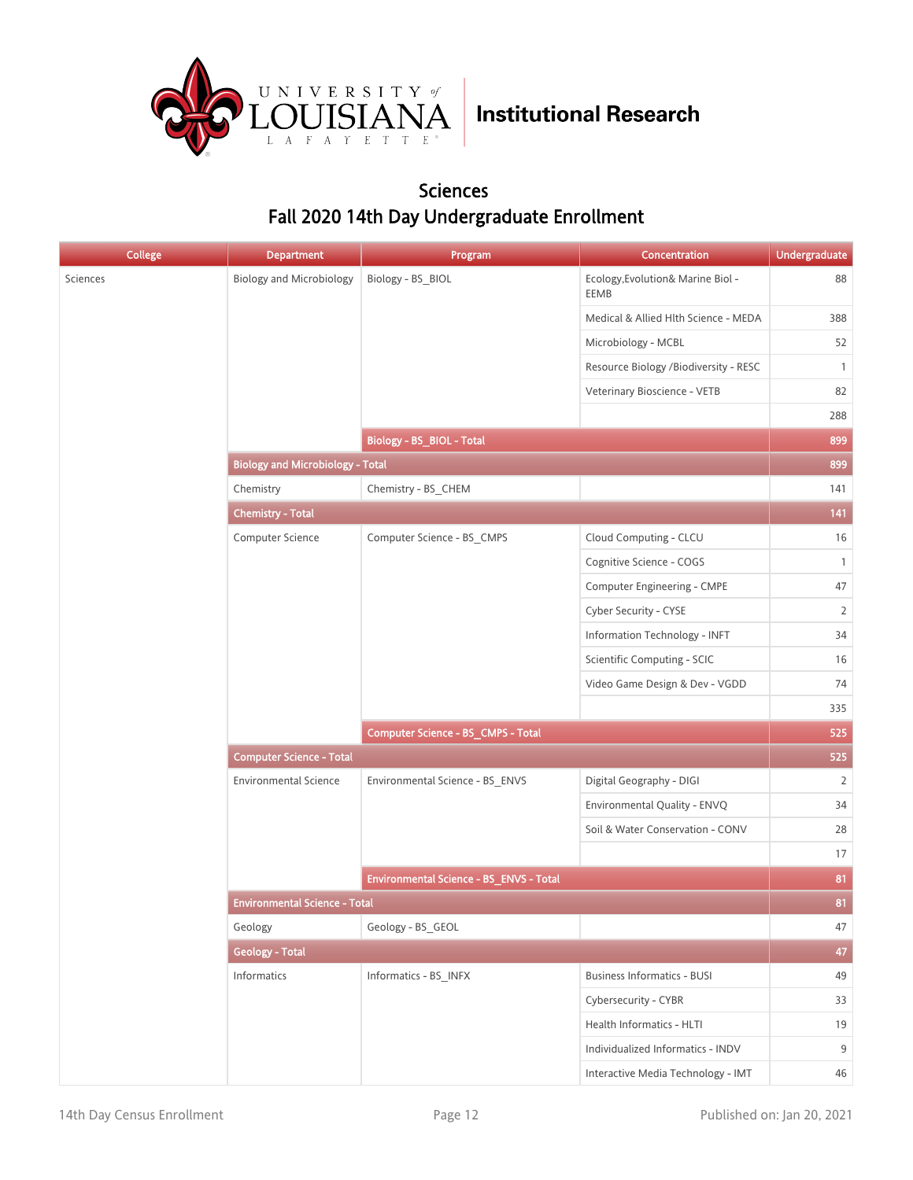

#### Sciences Fall 2020 14th Day Undergraduate Enrollment

| <b>College</b> | <b>Department</b>                       | Program                                 | Concentration                             | <b>Undergraduate</b> |
|----------------|-----------------------------------------|-----------------------------------------|-------------------------------------------|----------------------|
| Sciences       | <b>Biology and Microbiology</b>         | Biology - BS_BIOL                       | Ecology, Evolution& Marine Biol -<br>EEMB | 88                   |
|                |                                         |                                         | Medical & Allied Hlth Science - MEDA      | 388                  |
|                |                                         |                                         | Microbiology - MCBL                       | 52                   |
|                |                                         |                                         | Resource Biology /Biodiversity - RESC     | $\mathbf{1}$         |
|                |                                         |                                         | Veterinary Bioscience - VETB              | 82                   |
|                |                                         |                                         |                                           | 288                  |
|                |                                         | Biology - BS_BIOL - Total               |                                           | 899                  |
|                | <b>Biology and Microbiology - Total</b> |                                         |                                           | 899                  |
|                | Chemistry                               | Chemistry - BS_CHEM                     |                                           | 141                  |
|                | <b>Chemistry - Total</b>                |                                         |                                           | 141                  |
|                | Computer Science                        | Computer Science - BS_CMPS              | Cloud Computing - CLCU                    | 16                   |
|                |                                         |                                         | Cognitive Science - COGS                  | $\mathbf{1}$         |
|                |                                         |                                         | Computer Engineering - CMPE               | 47                   |
|                |                                         |                                         | Cyber Security - CYSE                     | $\overline{2}$       |
|                |                                         |                                         | Information Technology - INFT             | 34                   |
|                |                                         |                                         | Scientific Computing - SCIC               | 16                   |
|                |                                         |                                         | Video Game Design & Dev - VGDD            | 74                   |
|                |                                         |                                         |                                           | 335                  |
|                |                                         | Computer Science - BS_CMPS - Total      |                                           | 525                  |
|                | <b>Computer Science - Total</b>         |                                         |                                           |                      |
|                | <b>Environmental Science</b>            | Environmental Science - BS_ENVS         | Digital Geography - DIGI                  | $\overline{2}$       |
|                |                                         |                                         | Environmental Quality - ENVQ              | 34                   |
|                |                                         |                                         | Soil & Water Conservation - CONV          | 28                   |
|                |                                         |                                         |                                           | 17                   |
|                |                                         | Environmental Science - BS_ENVS - Total |                                           | 81                   |
|                | <b>Environmental Science - Total</b>    |                                         |                                           | 81                   |
|                | Geology                                 | Geology - BS_GEOL                       |                                           | 47                   |
|                | <b>Geology - Total</b>                  |                                         |                                           | 47                   |
|                | Informatics                             | Informatics - BS_INFX                   | <b>Business Informatics - BUSI</b>        | 49                   |
|                |                                         |                                         | Cybersecurity - CYBR                      | 33                   |
|                |                                         |                                         | Health Informatics - HLTI                 | 19                   |
|                |                                         |                                         | Individualized Informatics - INDV         | 9                    |
|                |                                         |                                         | Interactive Media Technology - IMT        | 46                   |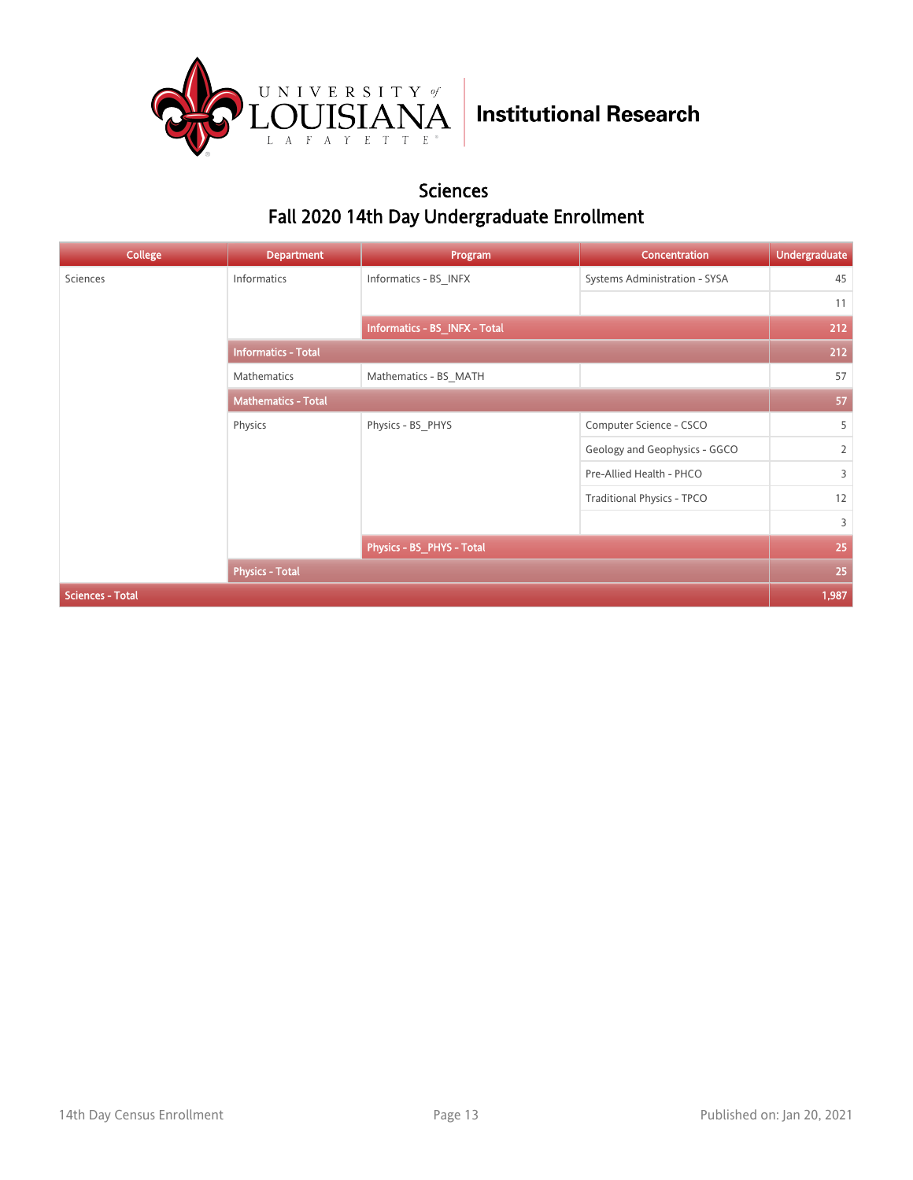

#### Sciences Fall 2020 14th Day Undergraduate Enrollment

| <b>College</b>          | <b>Department</b>          | Program                       | Concentration                     | <b>Undergraduate</b> |
|-------------------------|----------------------------|-------------------------------|-----------------------------------|----------------------|
| Sciences                | Informatics                | Informatics - BS_INFX         | Systems Administration - SYSA     | 45                   |
|                         |                            |                               |                                   | 11                   |
|                         |                            | Informatics - BS_INFX - Total |                                   | 212                  |
|                         | <b>Informatics - Total</b> |                               |                                   |                      |
|                         | Mathematics                | Mathematics - BS MATH         |                                   | 57                   |
|                         | <b>Mathematics - Total</b> |                               |                                   | 57                   |
|                         | Physics                    | Physics - BS PHYS             | Computer Science - CSCO           | 5                    |
|                         |                            |                               | Geology and Geophysics - GGCO     | $\overline{2}$       |
|                         |                            |                               | Pre-Allied Health - PHCO          | $\overline{3}$       |
|                         |                            |                               | <b>Traditional Physics - TPCO</b> | 12                   |
|                         |                            |                               |                                   | $\overline{3}$       |
|                         |                            | Physics - BS_PHYS - Total     |                                   | 25                   |
|                         | <b>Physics - Total</b>     |                               |                                   | 25                   |
| <b>Sciences - Total</b> |                            |                               |                                   | 1,987                |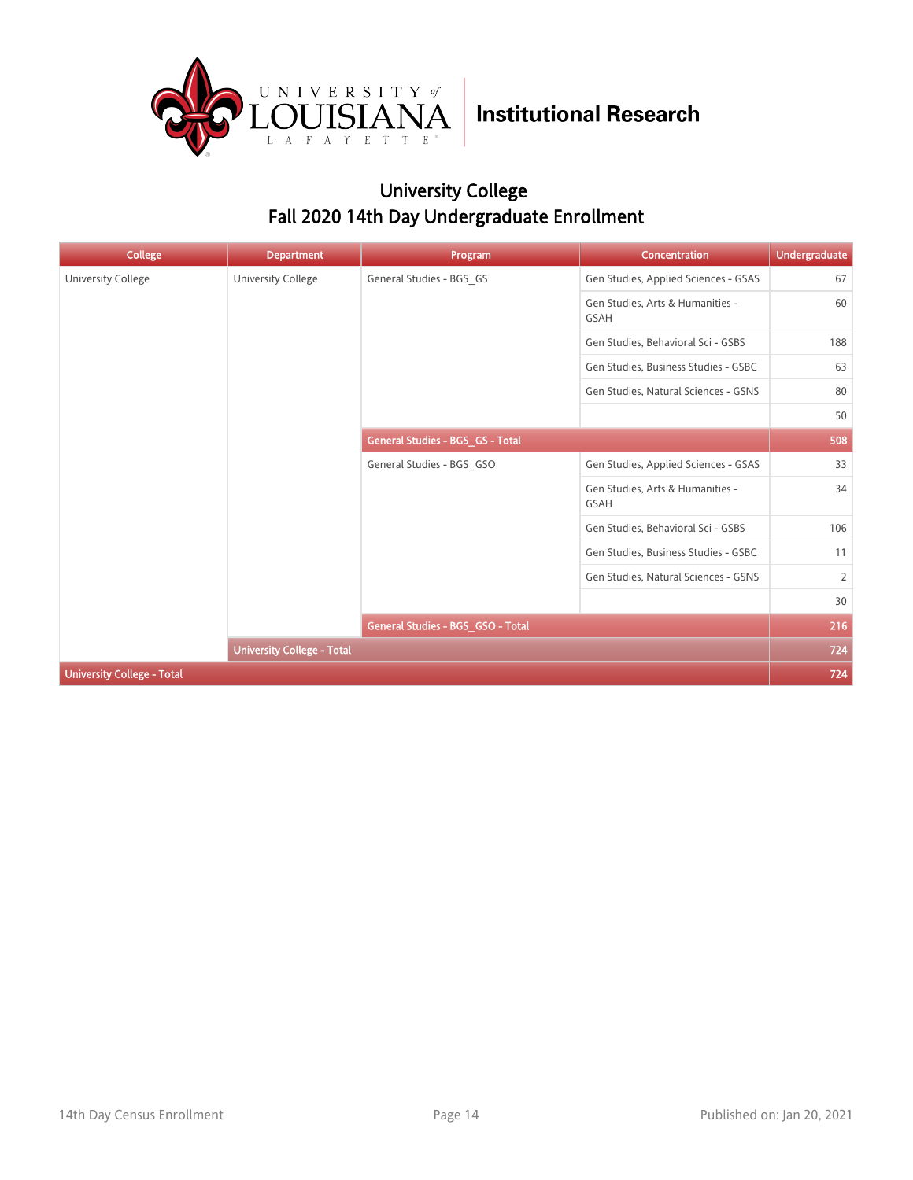

### University College Fall 2020 14th Day Undergraduate Enrollment

| <b>College</b>                    | <b>Department</b>                 | Program                           | <b>Concentration</b>                            | <b>Undergraduate</b> |
|-----------------------------------|-----------------------------------|-----------------------------------|-------------------------------------------------|----------------------|
| <b>University College</b>         | University College                | General Studies - BGS_GS          | Gen Studies, Applied Sciences - GSAS            | 67                   |
|                                   |                                   |                                   | Gen Studies, Arts & Humanities -<br><b>GSAH</b> | 60                   |
|                                   |                                   |                                   | Gen Studies, Behavioral Sci - GSBS              | 188                  |
|                                   |                                   |                                   | Gen Studies, Business Studies - GSBC            | 63                   |
|                                   |                                   |                                   | Gen Studies, Natural Sciences - GSNS            | 80                   |
|                                   |                                   |                                   |                                                 | 50                   |
|                                   |                                   | General Studies - BGS_GS - Total  |                                                 | 508                  |
|                                   |                                   | General Studies - BGS_GSO         | Gen Studies, Applied Sciences - GSAS            | 33                   |
|                                   |                                   |                                   | Gen Studies, Arts & Humanities -<br><b>GSAH</b> | 34                   |
|                                   |                                   |                                   | Gen Studies, Behavioral Sci - GSBS              | 106                  |
|                                   |                                   |                                   | Gen Studies, Business Studies - GSBC            | 11                   |
|                                   |                                   |                                   | Gen Studies, Natural Sciences - GSNS            | $\overline{2}$       |
|                                   |                                   |                                   |                                                 | 30                   |
|                                   |                                   | General Studies - BGS_GSO - Total |                                                 | 216                  |
|                                   | <b>University College - Total</b> |                                   |                                                 | 724                  |
| <b>University College - Total</b> |                                   |                                   |                                                 | 724                  |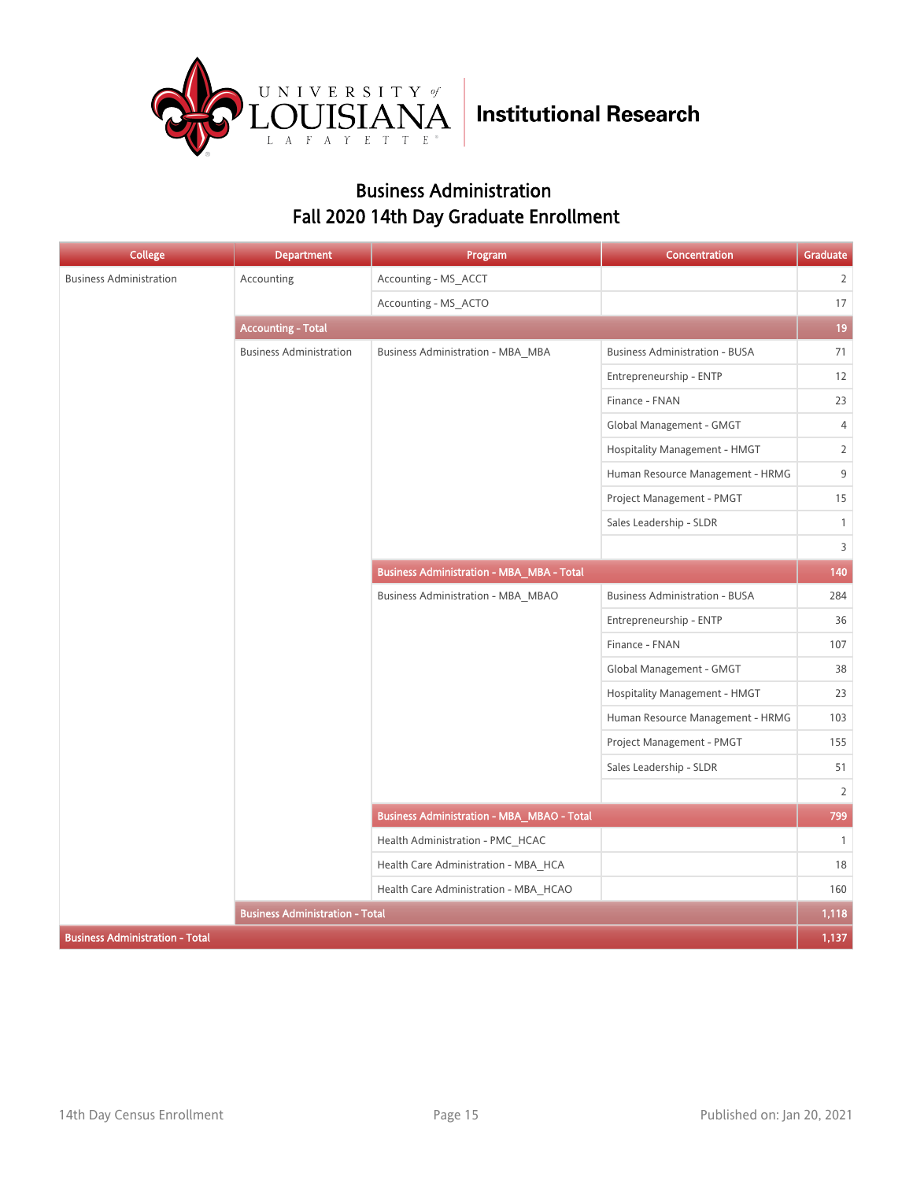

### Business Administration Fall 2020 14th Day Graduate Enrollment

| <b>College</b>                         | <b>Department</b>                      | Program                                           | Concentration                         | Graduate       |
|----------------------------------------|----------------------------------------|---------------------------------------------------|---------------------------------------|----------------|
| <b>Business Administration</b>         | Accounting                             | Accounting - MS ACCT                              |                                       | $\overline{2}$ |
|                                        |                                        | Accounting - MS ACTO                              |                                       | $17\,$         |
|                                        | <b>Accounting - Total</b>              |                                                   |                                       | 19             |
|                                        | <b>Business Administration</b>         | <b>Business Administration - MBA_MBA</b>          | <b>Business Administration - BUSA</b> | 71             |
|                                        |                                        |                                                   | Entrepreneurship - ENTP               | 12             |
|                                        |                                        |                                                   | Finance - FNAN                        | 23             |
|                                        |                                        |                                                   | Global Management - GMGT              | $\overline{4}$ |
|                                        |                                        |                                                   | Hospitality Management - HMGT         | $\overline{2}$ |
|                                        |                                        |                                                   | Human Resource Management - HRMG      | 9              |
|                                        |                                        |                                                   | Project Management - PMGT             | 15             |
|                                        |                                        |                                                   | Sales Leadership - SLDR               | $\mathbf{1}$   |
|                                        |                                        |                                                   |                                       | 3              |
|                                        |                                        | <b>Business Administration - MBA_MBA - Total</b>  |                                       | 140            |
|                                        |                                        | <b>Business Administration - MBA_MBAO</b>         | <b>Business Administration - BUSA</b> | 284            |
|                                        |                                        |                                                   | Entrepreneurship - ENTP               | 36             |
|                                        |                                        |                                                   | Finance - FNAN                        | 107            |
|                                        |                                        |                                                   | Global Management - GMGT              | 38             |
|                                        |                                        |                                                   | Hospitality Management - HMGT         | 23             |
|                                        |                                        |                                                   | Human Resource Management - HRMG      | 103            |
|                                        |                                        |                                                   | Project Management - PMGT             | 155            |
|                                        |                                        |                                                   | Sales Leadership - SLDR               | 51             |
|                                        |                                        |                                                   |                                       | $\overline{2}$ |
|                                        |                                        | <b>Business Administration - MBA_MBAO - Total</b> |                                       | 799            |
|                                        |                                        | Health Administration - PMC_HCAC                  |                                       | $\overline{1}$ |
|                                        |                                        | Health Care Administration - MBA HCA              |                                       | 18             |
|                                        |                                        | Health Care Administration - MBA_HCAO             |                                       | 160            |
|                                        | <b>Business Administration - Total</b> |                                                   |                                       | 1,118          |
| <b>Business Administration - Total</b> |                                        |                                                   |                                       | 1,137          |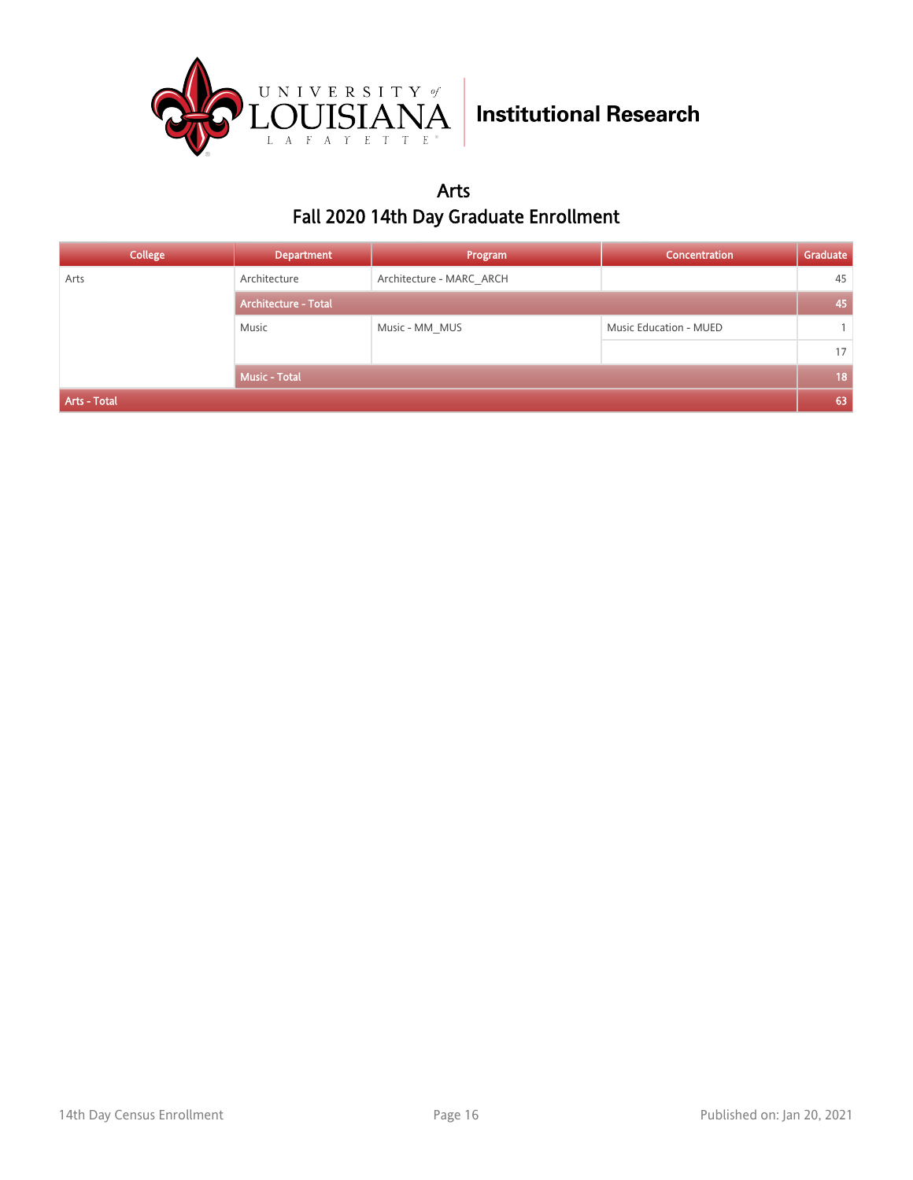

### Arts Fall 2020 14th Day Graduate Enrollment

| College      | <b>Department</b>           | Program                  | <b>Concentration</b>   | Graduate        |
|--------------|-----------------------------|--------------------------|------------------------|-----------------|
| Arts         | Architecture                | Architecture - MARC ARCH |                        | 45              |
|              | <b>Architecture - Total</b> |                          |                        |                 |
|              | Music                       | Music - MM MUS           | Music Education - MUED |                 |
|              |                             |                          |                        | 17              |
|              | Music - Total               |                          |                        | 18 <sub>1</sub> |
| Arts - Total |                             |                          |                        | 63              |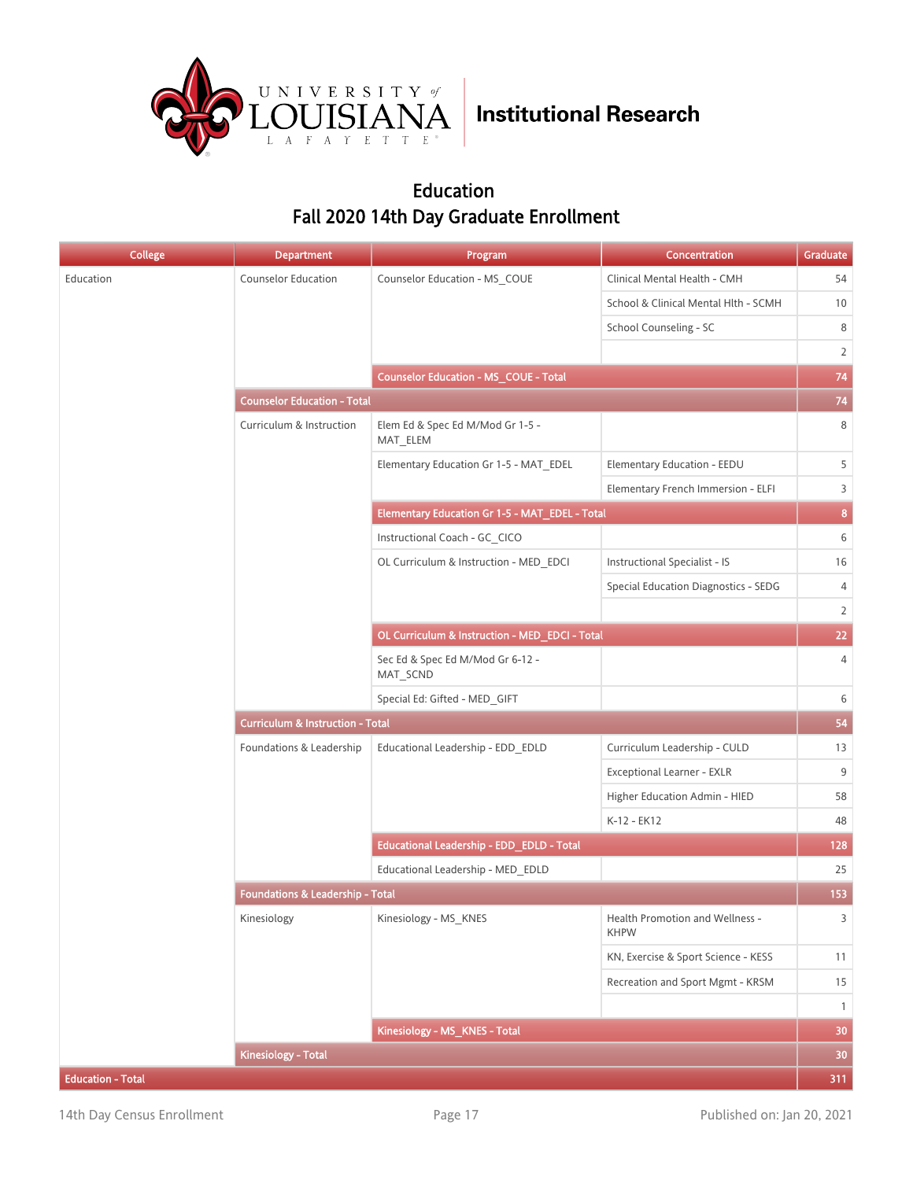

### Education Fall 2020 14th Day Graduate Enrollment

| <b>College</b>           | <b>Department</b>                           | Program                                        | Concentration                                  | Graduate        |  |
|--------------------------|---------------------------------------------|------------------------------------------------|------------------------------------------------|-----------------|--|
| Education                | <b>Counselor Education</b>                  | Counselor Education - MS_COUE                  | Clinical Mental Health - CMH                   | 54              |  |
|                          |                                             |                                                | School & Clinical Mental Hlth - SCMH           | 10              |  |
|                          |                                             |                                                | School Counseling - SC                         | 8               |  |
|                          |                                             |                                                |                                                | 2               |  |
|                          |                                             | Counselor Education - MS_COUE - Total          |                                                | 74              |  |
|                          | <b>Counselor Education - Total</b>          |                                                |                                                |                 |  |
|                          | Curriculum & Instruction                    | Elem Ed & Spec Ed M/Mod Gr 1-5 -<br>MAT_ELEM   |                                                | 8               |  |
|                          |                                             | Elementary Education Gr 1-5 - MAT EDEL         | Elementary Education - EEDU                    | 5               |  |
|                          |                                             |                                                | Elementary French Immersion - ELFI             | 3               |  |
|                          |                                             | Elementary Education Gr 1-5 - MAT_EDEL - Total |                                                | 8 <sub>1</sub>  |  |
|                          |                                             | Instructional Coach - GC CICO                  |                                                | 6               |  |
|                          |                                             | OL Curriculum & Instruction - MED EDCI         | <b>Instructional Specialist - IS</b>           | 16              |  |
|                          |                                             |                                                | <b>Special Education Diagnostics - SEDG</b>    | $\overline{4}$  |  |
|                          |                                             |                                                |                                                | $\overline{2}$  |  |
|                          |                                             | OL Curriculum & Instruction - MED_EDCI - Total |                                                | 22              |  |
|                          |                                             | Sec Ed & Spec Ed M/Mod Gr 6-12 -<br>MAT_SCND   |                                                | $\overline{4}$  |  |
|                          |                                             | Special Ed: Gifted - MED_GIFT                  |                                                | 6               |  |
|                          | <b>Curriculum &amp; Instruction - Total</b> |                                                |                                                |                 |  |
|                          | Foundations & Leadership                    | Educational Leadership - EDD_EDLD              | Curriculum Leadership - CULD                   | 13              |  |
|                          |                                             |                                                | Exceptional Learner - EXLR                     | 9               |  |
|                          |                                             |                                                | Higher Education Admin - HIED                  | 58              |  |
|                          |                                             |                                                | K-12 - EK12                                    | 48              |  |
|                          |                                             | Educational Leadership - EDD_EDLD - Total      |                                                | 128             |  |
|                          |                                             | Educational Leadership - MED EDLD              |                                                | 25              |  |
|                          | Foundations & Leadership - Total            |                                                |                                                | 153             |  |
|                          | Kinesiology                                 | Kinesiology - MS_KNES                          | Health Promotion and Wellness -<br><b>KHPW</b> | $\overline{3}$  |  |
|                          |                                             |                                                | KN, Exercise & Sport Science - KESS            | 11              |  |
|                          |                                             |                                                | Recreation and Sport Mgmt - KRSM               | 15              |  |
|                          |                                             |                                                |                                                | $\overline{1}$  |  |
|                          |                                             | Kinesiology - MS_KNES - Total                  |                                                | 30              |  |
|                          | <b>Kinesiology - Total</b>                  |                                                |                                                | 30 <sub>2</sub> |  |
| <b>Education - Total</b> |                                             |                                                |                                                | 311             |  |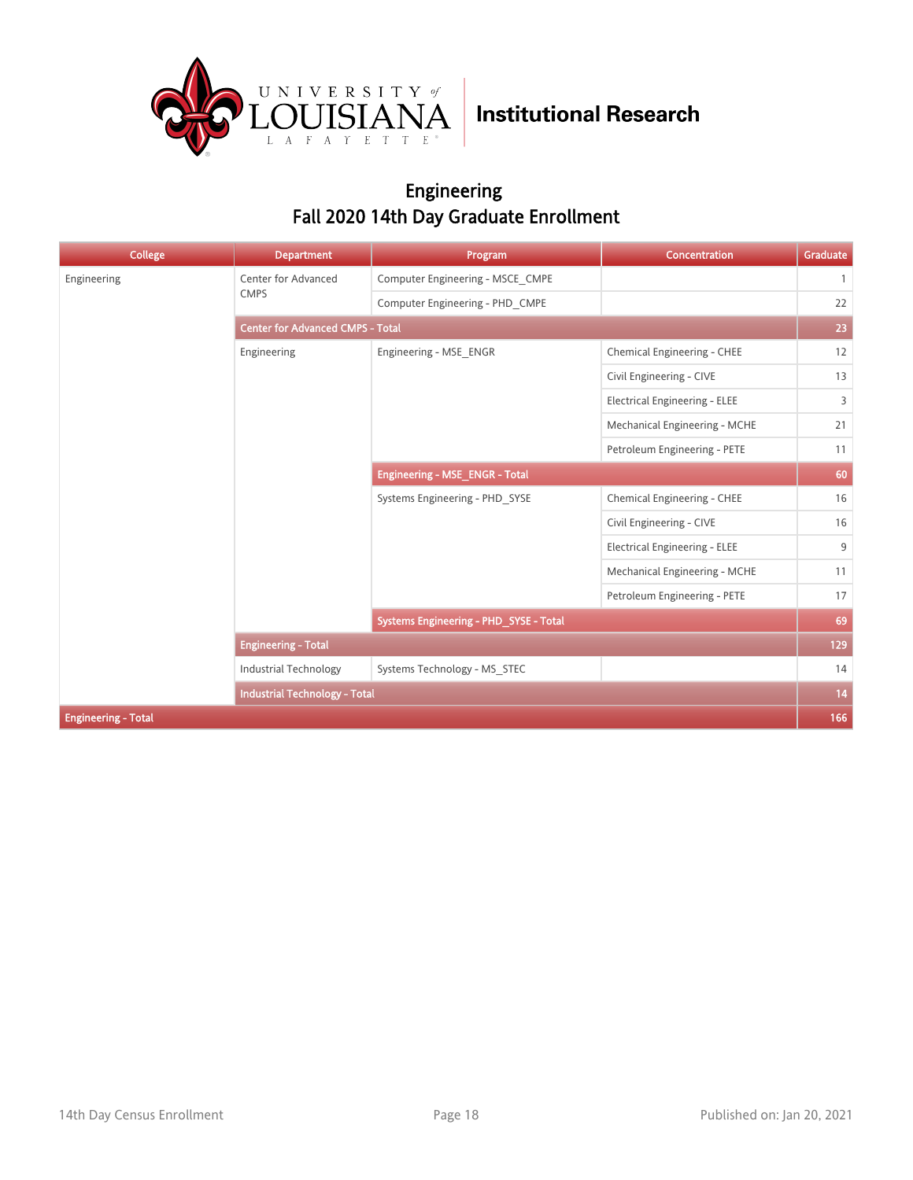

### Engineering Fall 2020 14th Day Graduate Enrollment

| <b>College</b>             | <b>Department</b>                       | Program                                | Concentration                        | Graduate     |  |
|----------------------------|-----------------------------------------|----------------------------------------|--------------------------------------|--------------|--|
| Engineering                | Center for Advanced                     | Computer Engineering - MSCE CMPE       |                                      | $\mathbf{1}$ |  |
|                            | <b>CMPS</b>                             | Computer Engineering - PHD CMPE        |                                      | 22           |  |
|                            | <b>Center for Advanced CMPS - Total</b> |                                        |                                      |              |  |
|                            | Engineering                             | Engineering - MSE ENGR                 | Chemical Engineering - CHEE          | 12           |  |
|                            |                                         |                                        | Civil Engineering - CIVE             | 13           |  |
|                            |                                         |                                        | <b>Electrical Engineering - ELEE</b> | 3            |  |
|                            |                                         |                                        | Mechanical Engineering - MCHE        | 21           |  |
|                            |                                         |                                        | Petroleum Engineering - PETE         | 11           |  |
|                            |                                         | Engineering - MSE_ENGR - Total         |                                      | 60           |  |
|                            |                                         | Systems Engineering - PHD SYSE         | Chemical Engineering - CHEE          | 16           |  |
|                            |                                         |                                        | Civil Engineering - CIVE             | 16           |  |
|                            |                                         |                                        | <b>Electrical Engineering - ELEE</b> | 9            |  |
|                            |                                         |                                        | Mechanical Engineering - MCHE        | 11           |  |
|                            |                                         |                                        | Petroleum Engineering - PETE         | 17           |  |
|                            |                                         | Systems Engineering - PHD_SYSE - Total |                                      | 69           |  |
|                            | <b>Engineering - Total</b>              |                                        |                                      | 129          |  |
|                            | <b>Industrial Technology</b>            | Systems Technology - MS STEC           |                                      | 14           |  |
|                            | <b>Industrial Technology - Total</b>    |                                        |                                      | 14           |  |
| <b>Engineering - Total</b> |                                         |                                        |                                      | 166          |  |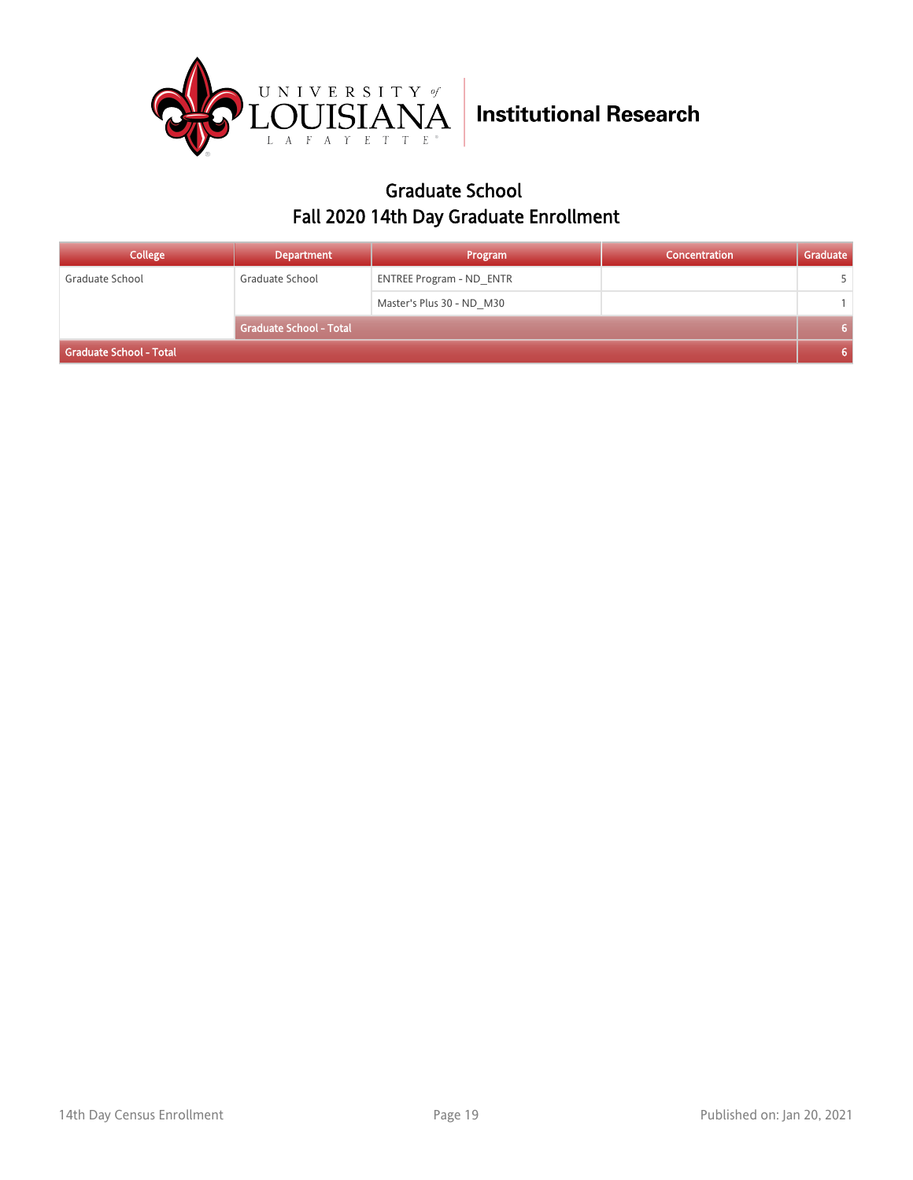

### Graduate School Fall 2020 14th Day Graduate Enrollment

| <b>College</b>          | <b>Department</b>              | Program                         | Concentration | Graduate |
|-------------------------|--------------------------------|---------------------------------|---------------|----------|
| Graduate School         | Graduate School                | <b>ENTREE Program - ND ENTR</b> |               |          |
|                         |                                | Master's Plus 30 - ND M30       |               |          |
|                         | <b>Graduate School - Total</b> |                                 |               |          |
| Graduate School - Total |                                |                                 |               |          |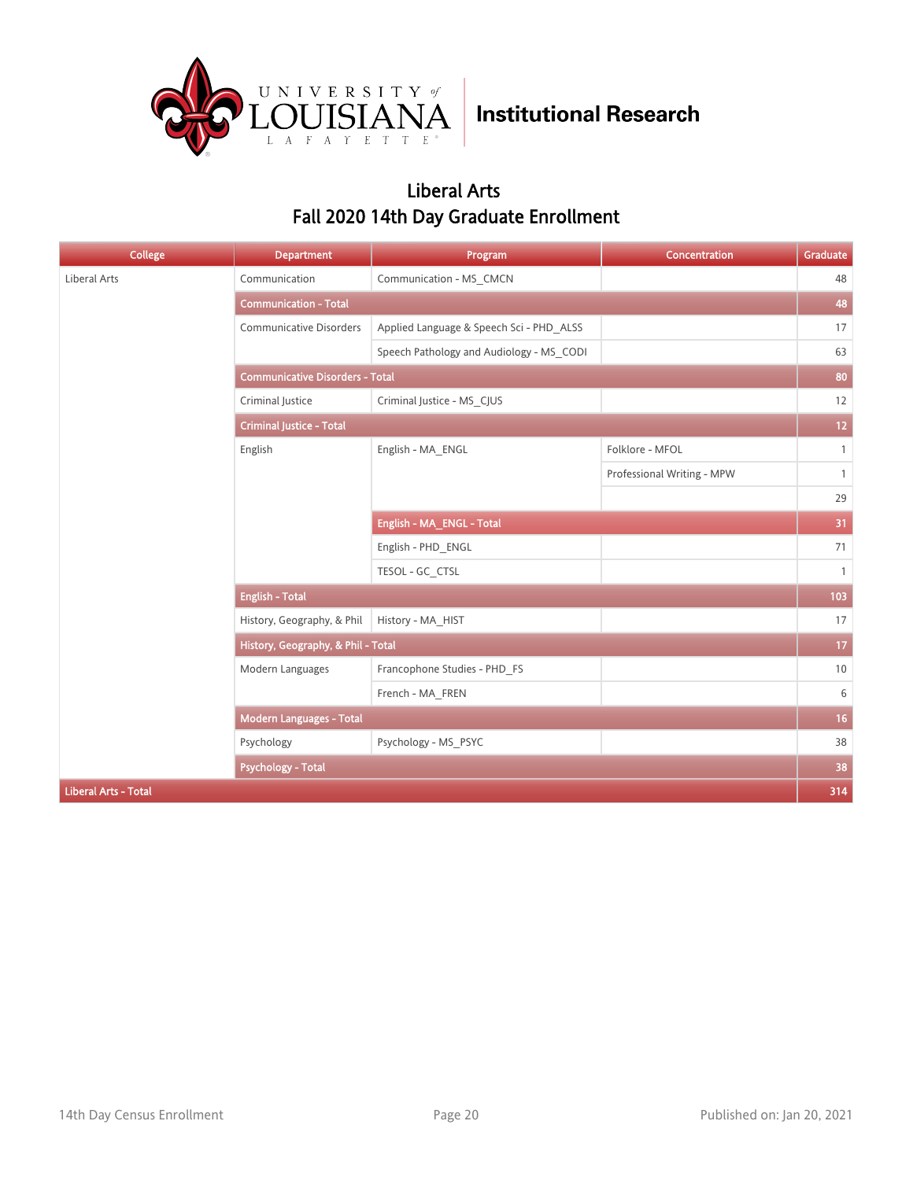

### Liberal Arts Fall 2020 14th Day Graduate Enrollment

| College                     | <b>Department</b>                      | Program                                  | <b>Concentration</b>       | Graduate       |  |
|-----------------------------|----------------------------------------|------------------------------------------|----------------------------|----------------|--|
| Liberal Arts                | Communication                          | Communication - MS_CMCN                  |                            | 48             |  |
|                             | <b>Communication - Total</b>           |                                          |                            | 48             |  |
|                             | <b>Communicative Disorders</b>         | Applied Language & Speech Sci - PHD_ALSS |                            | 17             |  |
|                             |                                        | Speech Pathology and Audiology - MS CODI |                            | 63             |  |
|                             | <b>Communicative Disorders - Total</b> |                                          |                            |                |  |
|                             | Criminal Justice                       | Criminal Justice - MS_CJUS               |                            | 12             |  |
|                             | <b>Criminal Justice - Total</b>        |                                          |                            |                |  |
|                             | English                                | English - MA_ENGL                        | Folklore - MFOL            | $\mathbf{1}$   |  |
|                             |                                        |                                          | Professional Writing - MPW | $\mathbf{1}$   |  |
|                             |                                        |                                          |                            | 29             |  |
|                             |                                        | English - MA_ENGL - Total                |                            | 31             |  |
|                             |                                        | English - PHD ENGL                       |                            | 71             |  |
|                             |                                        | TESOL - GC_CTSL                          |                            | $\overline{1}$ |  |
|                             | <b>English - Total</b>                 |                                          |                            | 103            |  |
|                             | History, Geography, & Phil             | History - MA HIST                        |                            | 17             |  |
|                             | History, Geography, & Phil - Total     |                                          |                            | 17             |  |
|                             | Modern Languages                       | Francophone Studies - PHD_FS             |                            | 10             |  |
|                             |                                        | French - MA_FREN                         |                            | 6              |  |
|                             | Modern Languages - Total               |                                          |                            | 16             |  |
|                             | Psychology                             | Psychology - MS_PSYC                     |                            | 38             |  |
|                             | <b>Psychology - Total</b>              |                                          |                            | 38             |  |
| <b>Liberal Arts - Total</b> |                                        |                                          |                            | 314            |  |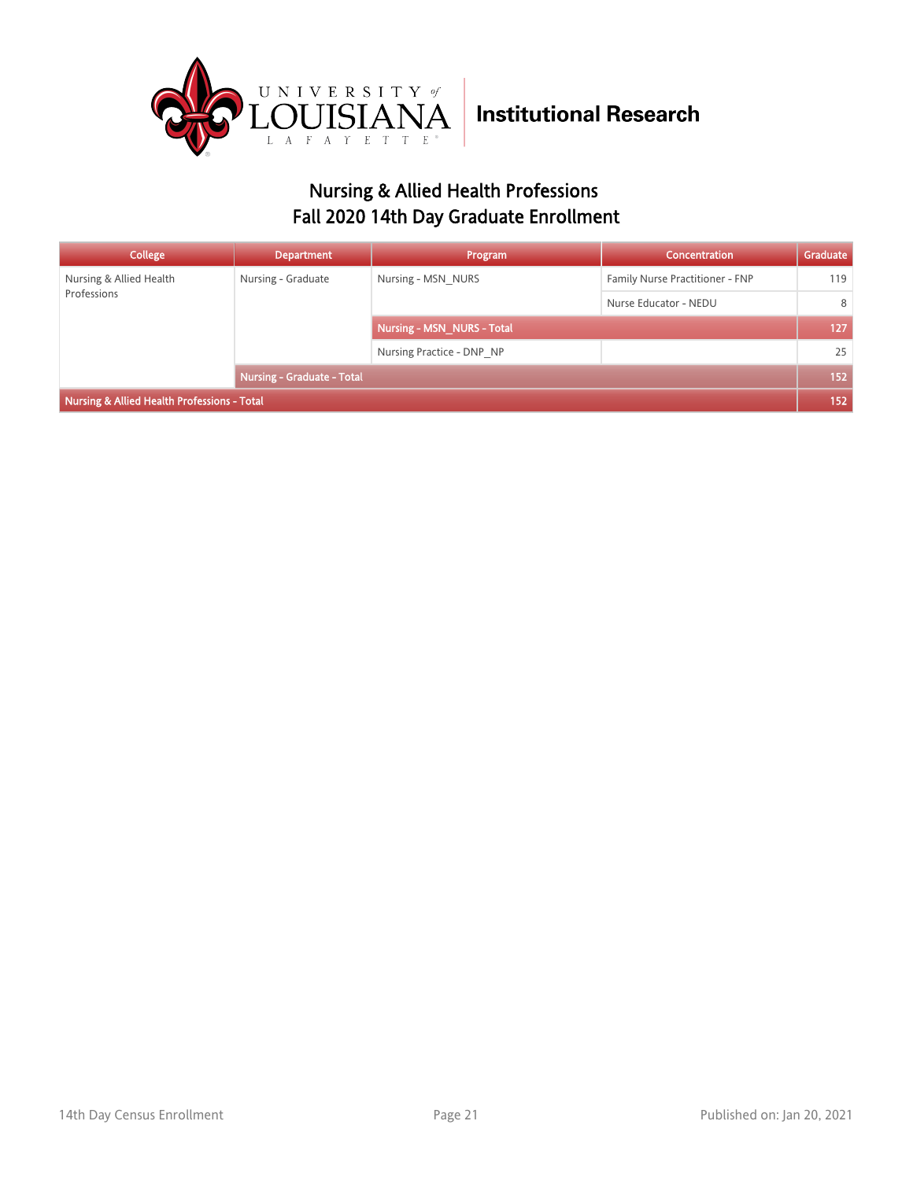

### Nursing & Allied Health Professions Fall 2020 14th Day Graduate Enrollment

| College                                     | <b>Department</b>          | Program                    | <b>Concentration</b>            | Graduate |
|---------------------------------------------|----------------------------|----------------------------|---------------------------------|----------|
| Nursing & Allied Health<br>Professions      | Nursing - Graduate         | Nursing - MSN NURS         | Family Nurse Practitioner - FNP | 119      |
|                                             |                            |                            | Nurse Educator - NEDU           | 8        |
|                                             |                            | Nursing - MSN NURS - Total |                                 | 127      |
|                                             |                            | Nursing Practice - DNP NP  |                                 | 25       |
|                                             | Nursing - Graduate - Total |                            | 152                             |          |
| Nursing & Allied Health Professions - Total |                            |                            |                                 |          |